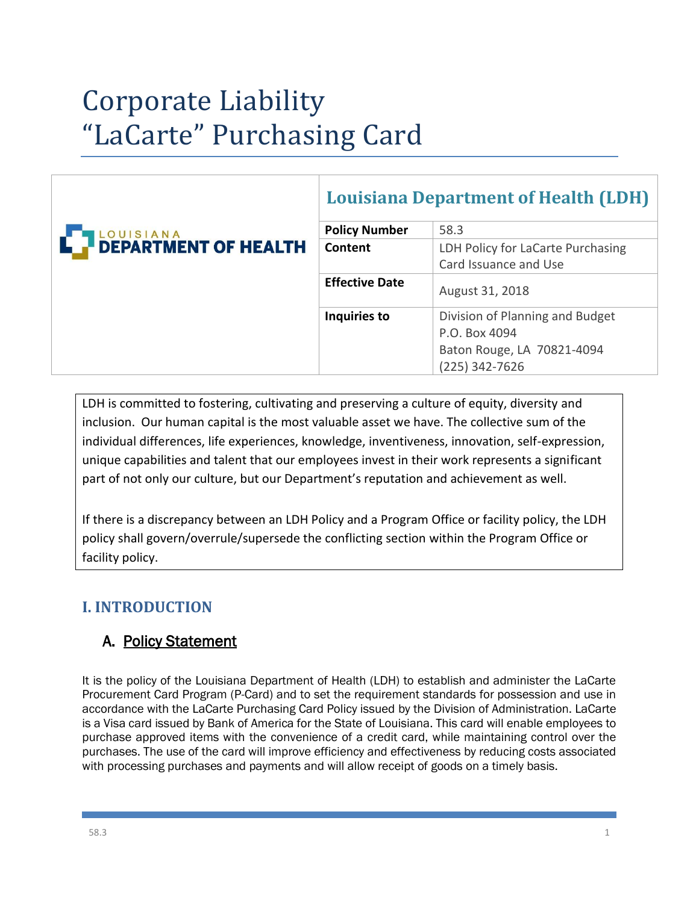# Corporate Liability "LaCarte" Purchasing Card

| <b>Louisiana Department of Health (LDH)</b> |  |
|---------------------------------------------|--|
|                                             |  |

|                                                   | <b>Policy Number</b>  | 58.3                              |
|---------------------------------------------------|-----------------------|-----------------------------------|
| <b>TLOUISIANA</b><br><b>PREPARTMENT OF HEALTH</b> | Content               | LDH Policy for LaCarte Purchasing |
|                                                   |                       | Card Issuance and Use             |
|                                                   | <b>Effective Date</b> | August 31, 2018                   |
|                                                   | Inquiries to          | Division of Planning and Budget   |
|                                                   |                       | P.O. Box 4094                     |
|                                                   |                       | Baton Rouge, LA 70821-4094        |
|                                                   |                       | $(225)$ 342-7626                  |

LDH is committed to fostering, cultivating and preserving a culture of equity, diversity and inclusion. Our human capital is the most valuable asset we have. The collective sum of the individual differences, life experiences, knowledge, inventiveness, innovation, self-expression, unique capabilities and talent that our employees invest in their work represents a significant part of not only our culture, but our Department's reputation and achievement as well.

If there is a discrepancy between an LDH Policy and a Program Office or facility policy, the LDH policy shall govern/overrule/supersede the conflicting section within the Program Office or facility policy.

# **I. INTRODUCTION**

# A. Policy Statement

It is the policy of the Louisiana Department of Health (LDH) to establish and administer the LaCarte Procurement Card Program (P-Card) and to set the requirement standards for possession and use in accordance with the LaCarte Purchasing Card Policy issued by the Division of Administration. LaCarte is a Visa card issued by Bank of America for the State of Louisiana. This card will enable employees to purchase approved items with the convenience of a credit card, while maintaining control over the purchases. The use of the card will improve efficiency and effectiveness by reducing costs associated with processing purchases and payments and will allow receipt of goods on a timely basis.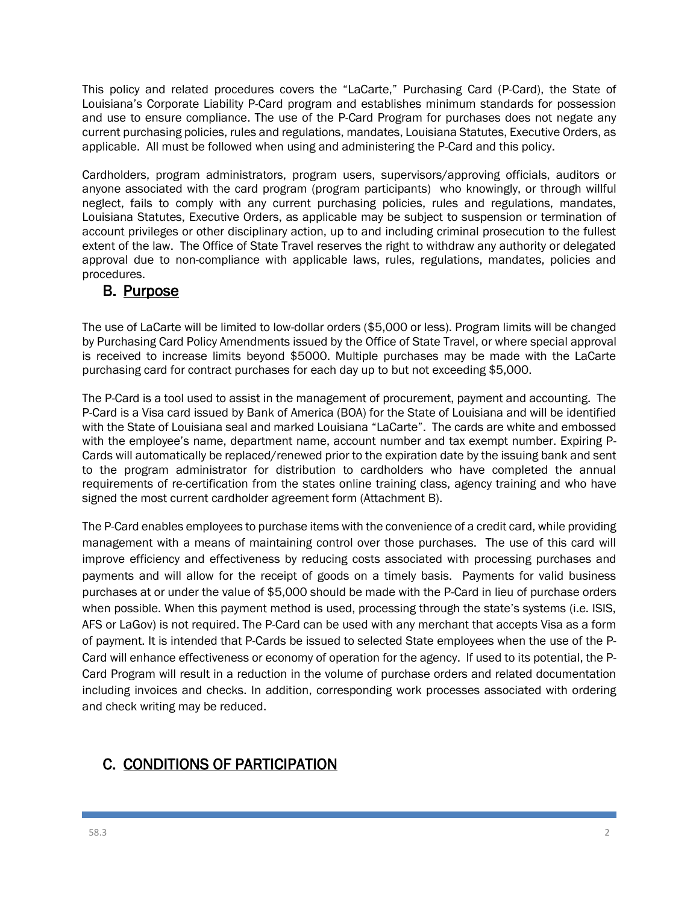This policy and related procedures covers the "LaCarte," Purchasing Card (P-Card), the State of Louisiana's Corporate Liability P-Card program and establishes minimum standards for possession and use to ensure compliance. The use of the P-Card Program for purchases does not negate any current purchasing policies, rules and regulations, mandates, Louisiana Statutes, Executive Orders, as applicable. All must be followed when using and administering the P-Card and this policy.

Cardholders, program administrators, program users, supervisors/approving officials, auditors or anyone associated with the card program (program participants) who knowingly, or through willful neglect, fails to comply with any current purchasing policies, rules and regulations, mandates, Louisiana Statutes, Executive Orders, as applicable may be subject to suspension or termination of account privileges or other disciplinary action, up to and including criminal prosecution to the fullest extent of the law. The Office of State Travel reserves the right to withdraw any authority or delegated approval due to non-compliance with applicable laws, rules, regulations, mandates, policies and procedures.

### B. Purpose

The use of LaCarte will be limited to low-dollar orders (\$5,000 or less). Program limits will be changed by Purchasing Card Policy Amendments issued by the Office of State Travel, or where special approval is received to increase limits beyond \$5000. Multiple purchases may be made with the LaCarte purchasing card for contract purchases for each day up to but not exceeding \$5,000.

The P-Card is a tool used to assist in the management of procurement, payment and accounting. The P-Card is a Visa card issued by Bank of America (BOA) for the State of Louisiana and will be identified with the State of Louisiana seal and marked Louisiana "LaCarte". The cards are white and embossed with the employee's name, department name, account number and tax exempt number. Expiring P-Cards will automatically be replaced/renewed prior to the expiration date by the issuing bank and sent to the program administrator for distribution to cardholders who have completed the annual requirements of re-certification from the states online training class, agency training and who have signed the most current cardholder agreement form (Attachment B).

The P-Card enables employees to purchase items with the convenience of a credit card, while providing management with a means of maintaining control over those purchases. The use of this card will improve efficiency and effectiveness by reducing costs associated with processing purchases and payments and will allow for the receipt of goods on a timely basis. Payments for valid business purchases at or under the value of \$5,000 should be made with the P-Card in lieu of purchase orders when possible. When this payment method is used, processing through the state's systems (i.e. ISIS, AFS or LaGov) is not required. The P-Card can be used with any merchant that accepts Visa as a form of payment. It is intended that P-Cards be issued to selected State employees when the use of the P-Card will enhance effectiveness or economy of operation for the agency. If used to its potential, the P-Card Program will result in a reduction in the volume of purchase orders and related documentation including invoices and checks. In addition, corresponding work processes associated with ordering and check writing may be reduced.

# C. CONDITIONS OF PARTICIPATION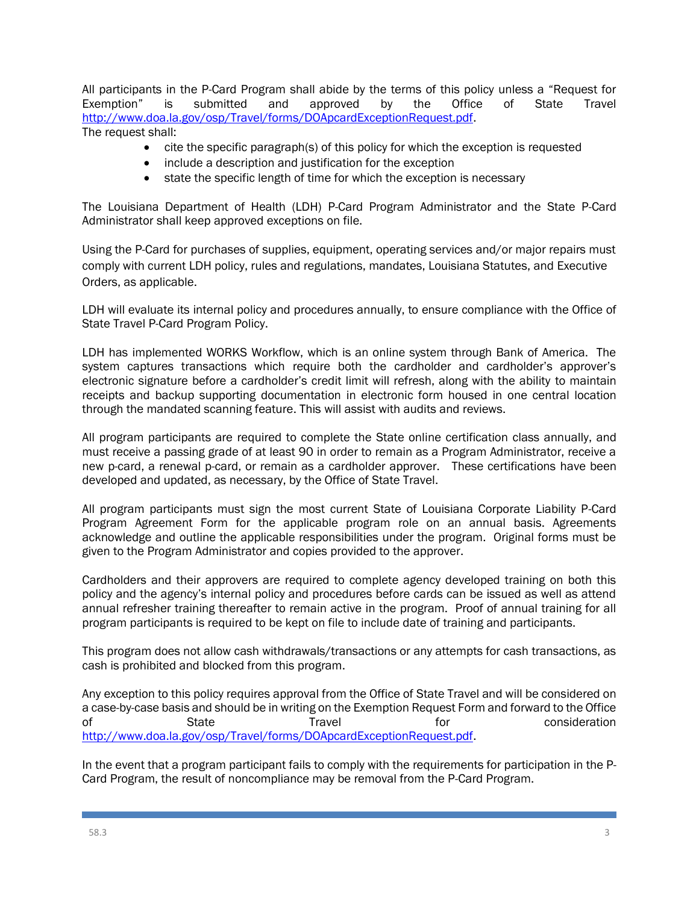All participants in the P-Card Program shall abide by the terms of this policy unless a "Request for Exemption" is submitted and approved by the Office of State Travel [http://www.doa.la.gov/osp/Travel/forms/DOApcardExceptionRequest.pdf.](http://www.doa.la.gov/osp/Travel/forms/DOApcardExceptionRequest.pdf) The request shall:

- cite the specific paragraph(s) of this policy for which the exception is requested
- include a description and justification for the exception
- state the specific length of time for which the exception is necessary

The Louisiana Department of Health (LDH) P-Card Program Administrator and the State P-Card Administrator shall keep approved exceptions on file.

Using the P-Card for purchases of supplies, equipment, operating services and/or major repairs must comply with current LDH policy, rules and regulations, mandates, Louisiana Statutes, and Executive Orders, as applicable.

LDH will evaluate its internal policy and procedures annually, to ensure compliance with the Office of State Travel P-Card Program Policy.

LDH has implemented WORKS Workflow, which is an online system through Bank of America. The system captures transactions which require both the cardholder and cardholder's approver's electronic signature before a cardholder's credit limit will refresh, along with the ability to maintain receipts and backup supporting documentation in electronic form housed in one central location through the mandated scanning feature. This will assist with audits and reviews.

All program participants are required to complete the State online certification class annually, and must receive a passing grade of at least 90 in order to remain as a Program Administrator, receive a new p-card, a renewal p-card, or remain as a cardholder approver. These certifications have been developed and updated, as necessary, by the Office of State Travel.

All program participants must sign the most current State of Louisiana Corporate Liability P-Card Program Agreement Form for the applicable program role on an annual basis. Agreements acknowledge and outline the applicable responsibilities under the program. Original forms must be given to the Program Administrator and copies provided to the approver.

Cardholders and their approvers are required to complete agency developed training on both this policy and the agency's internal policy and procedures before cards can be issued as well as attend annual refresher training thereafter to remain active in the program. Proof of annual training for all program participants is required to be kept on file to include date of training and participants.

This program does not allow cash withdrawals/transactions or any attempts for cash transactions, as cash is prohibited and blocked from this program.

Any exception to this policy requires approval from the Office of State Travel and will be considered on a case-by-case basis and should be in writing on the Exemption Request Form and forward to the Office of State Travel for consideration [http://www.doa.la.gov/osp/Travel/forms/DOApcardExceptionRequest.pdf.](http://www.doa.la.gov/osp/Travel/forms/DOApcardExceptionRequest.pdf)

In the event that a program participant fails to comply with the requirements for participation in the P-Card Program, the result of noncompliance may be removal from the P-Card Program.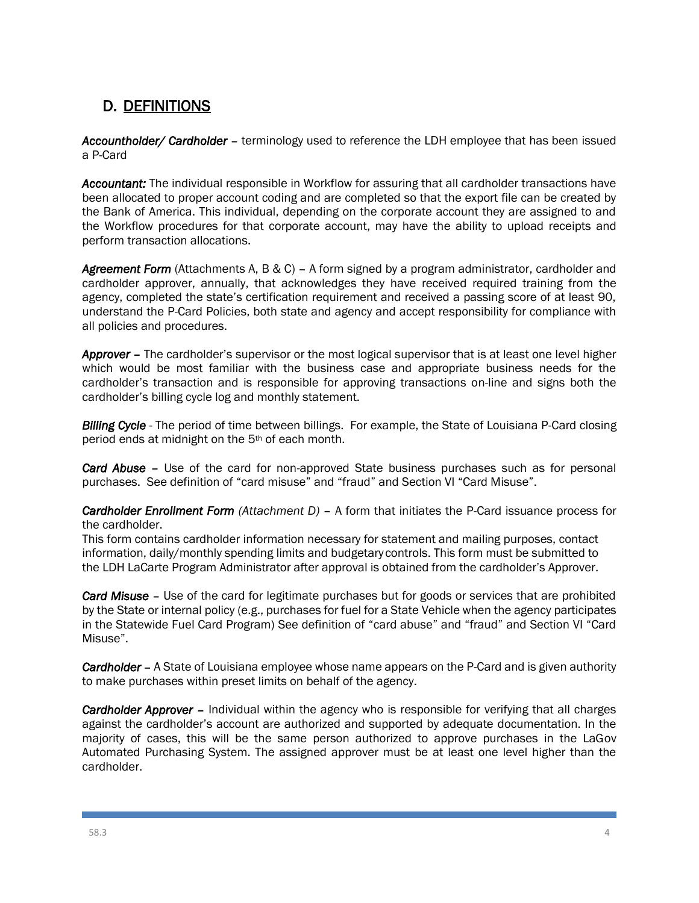# D. DEFINITIONS

*Accountholder/ Cardholder* – terminology used to reference the LDH employee that has been issued a P-Card

*Accountant:* The individual responsible in Workflow for assuring that all cardholder transactions have been allocated to proper account coding and are completed so that the export file can be created by the Bank of America. This individual, depending on the corporate account they are assigned to and the Workflow procedures for that corporate account, may have the ability to upload receipts and perform transaction allocations.

*Agreement Form* (Attachments A, B & C) – A form signed by a program administrator, cardholder and cardholder approver, annually, that acknowledges they have received required training from the agency, completed the state's certification requirement and received a passing score of at least 90, understand the P-Card Policies, both state and agency and accept responsibility for compliance with all policies and procedures.

*Approver* – The cardholder's supervisor or the most logical supervisor that is at least one level higher which would be most familiar with the business case and appropriate business needs for the cardholder's transaction and is responsible for approving transactions on-line and signs both the cardholder's billing cycle log and monthly statement.

*Billing Cycle* - The period of time between billings. For example, the State of Louisiana P-Card closing period ends at midnight on the 5th of each month.

*Card Abuse* – Use of the card for non-approved State business purchases such as for personal purchases. See definition of "card misuse" and "fraud" and Section VI "Card Misuse".

*Cardholder Enrollment Form (Attachment D)* – A form that initiates the P-Card issuance process for the cardholder.

This form contains cardholder information necessary for statement and mailing purposes, contact information, daily/monthly spending limits and budgetary controls. This form must be submitted to the LDH LaCarte Program Administrator after approval is obtained from the cardholder's Approver.

*Card Misuse* – Use of the card for legitimate purchases but for goods or services that are prohibited by the State or internal policy (e.g., purchases for fuel for a State Vehicle when the agency participates in the Statewide Fuel Card Program) See definition of "card abuse" and "fraud" and Section VI "Card Misuse".

*Cardholder* – A State of Louisiana employee whose name appears on the P-Card and is given authority to make purchases within preset limits on behalf of the agency.

*Cardholder Approver* – Individual within the agency who is responsible for verifying that all charges against the cardholder's account are authorized and supported by adequate documentation. In the majority of cases, this will be the same person authorized to approve purchases in the LaGov Automated Purchasing System. The assigned approver must be at least one level higher than the cardholder.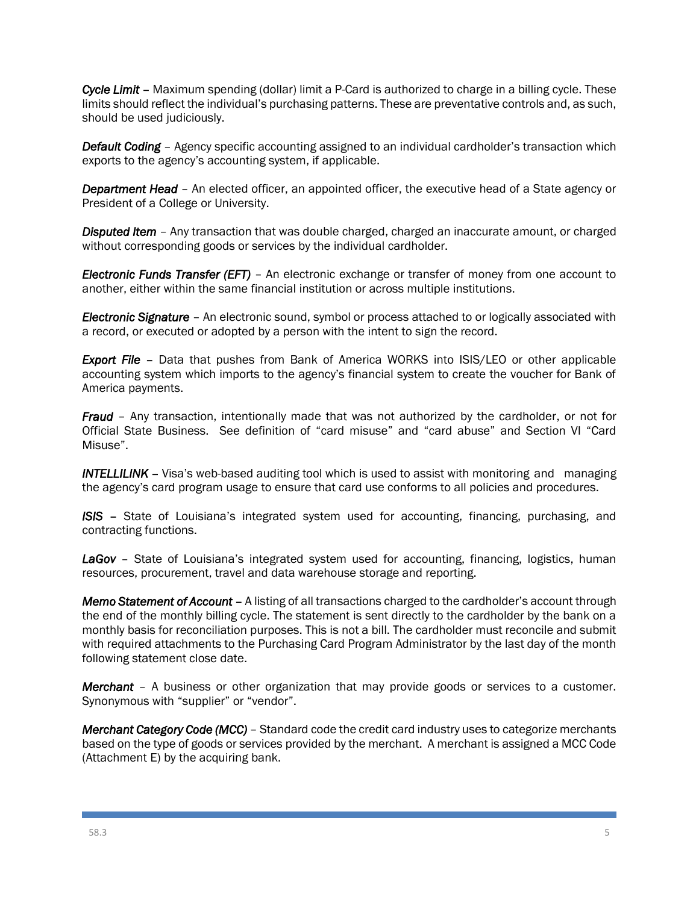*Cycle Limit* – Maximum spending (dollar) limit a P-Card is authorized to charge in a billing cycle. These limits should reflect the individual's purchasing patterns. These are preventative controls and, as such, should be used judiciously.

*Default Coding* – Agency specific accounting assigned to an individual cardholder's transaction which exports to the agency's accounting system, if applicable.

*Department Head* – An elected officer, an appointed officer, the executive head of a State agency or President of a College or University.

*Disputed Item* – Any transaction that was double charged, charged an inaccurate amount, or charged without corresponding goods or services by the individual cardholder.

*Electronic Funds Transfer (EFT)* – An electronic exchange or transfer of money from one account to another, either within the same financial institution or across multiple institutions.

*Electronic Signature* – An electronic sound, symbol or process attached to or logically associated with a record, or executed or adopted by a person with the intent to sign the record.

**Export File** – Data that pushes from Bank of America WORKS into ISIS/LEO or other applicable accounting system which imports to the agency's financial system to create the voucher for Bank of America payments.

*Fraud* – Any transaction, intentionally made that was not authorized by the cardholder, or not for Official State Business. See definition of "card misuse" and "card abuse" and Section VI "Card Misuse".

**INTELLILINK** – Visa's web-based auditing tool which is used to assist with monitoring and managing the agency's card program usage to ensure that card use conforms to all policies and procedures.

*ISIS* – State of Louisiana's integrated system used for accounting, financing, purchasing, and contracting functions.

LaGov - State of Louisiana's integrated system used for accounting, financing, logistics, human resources, procurement, travel and data warehouse storage and reporting.

*Memo Statement of Account* – A listing of all transactions charged to the cardholder's account through the end of the monthly billing cycle. The statement is sent directly to the cardholder by the bank on a monthly basis for reconciliation purposes. This is not a bill. The cardholder must reconcile and submit with required attachments to the Purchasing Card Program Administrator by the last day of the month following statement close date.

*Merchant* – A business or other organization that may provide goods or services to a customer. Synonymous with "supplier" or "vendor".

*Merchant Category Code (MCC)* – Standard code the credit card industry uses to categorize merchants based on the type of goods or services provided by the merchant. A merchant is assigned a MCC Code (Attachment E) by the acquiring bank.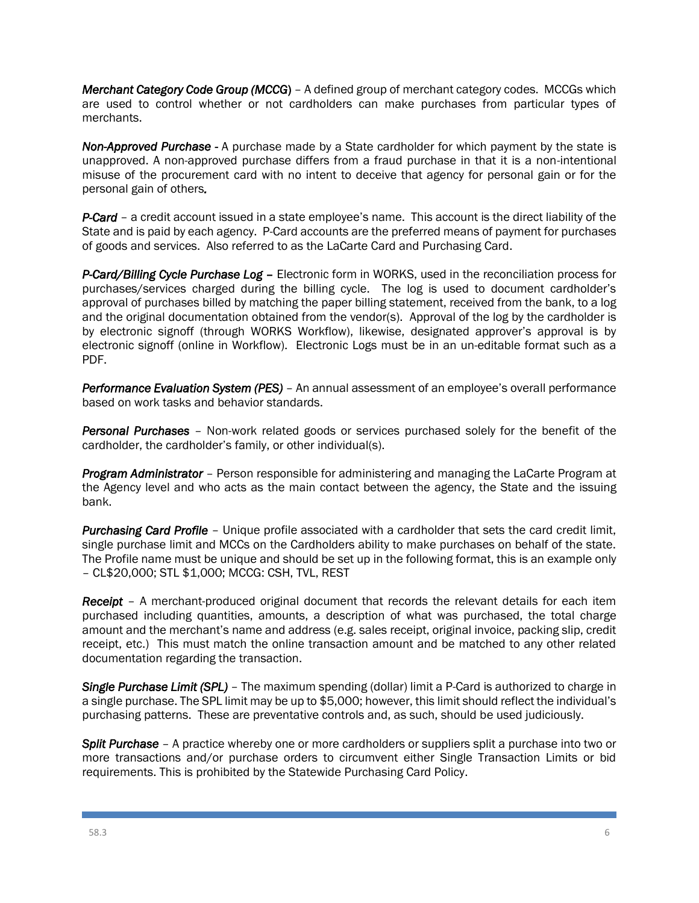*Merchant Category Code Group (MCCG*) – A defined group of merchant category codes. MCCGs which are used to control whether or not cardholders can make purchases from particular types of merchants.

*Non-Approved Purchase -* A purchase made by a State cardholder for which payment by the state is unapproved. A non-approved purchase differs from a fraud purchase in that it is a non-intentional misuse of the procurement card with no intent to deceive that agency for personal gain or for the personal gain of others*.* 

*P-Card* – a credit account issued in a state employee's name. This account is the direct liability of the State and is paid by each agency. P-Card accounts are the preferred means of payment for purchases of goods and services. Also referred to as the LaCarte Card and Purchasing Card.

*P-Card/Billing Cycle Purchase Log* – Electronic form in WORKS, used in the reconciliation process for purchases/services charged during the billing cycle. The log is used to document cardholder's approval of purchases billed by matching the paper billing statement, received from the bank, to a log and the original documentation obtained from the vendor(s). Approval of the log by the cardholder is by electronic signoff (through WORKS Workflow), likewise, designated approver's approval is by electronic signoff (online in Workflow). Electronic Logs must be in an un-editable format such as a PDF.

*Performance Evaluation System (PES)* – An annual assessment of an employee's overall performance based on work tasks and behavior standards.

*Personal Purchases* – Non-work related goods or services purchased solely for the benefit of the cardholder, the cardholder's family, or other individual(s).

*Program Administrator* – Person responsible for administering and managing the LaCarte Program at the Agency level and who acts as the main contact between the agency, the State and the issuing bank.

*Purchasing Card Profile* – Unique profile associated with a cardholder that sets the card credit limit, single purchase limit and MCCs on the Cardholders ability to make purchases on behalf of the state. The Profile name must be unique and should be set up in the following format, this is an example only – CL\$20,000; STL \$1,000; MCCG: CSH, TVL, REST

*Receipt* – A merchant-produced original document that records the relevant details for each item purchased including quantities, amounts, a description of what was purchased, the total charge amount and the merchant's name and address (e.g. sales receipt, original invoice, packing slip, credit receipt, etc.) This must match the online transaction amount and be matched to any other related documentation regarding the transaction.

*Single Purchase Limit (SPL)* – The maximum spending (dollar) limit a P-Card is authorized to charge in a single purchase. The SPL limit may be up to \$5,000; however, this limit should reflect the individual's purchasing patterns. These are preventative controls and, as such, should be used judiciously.

*Split Purchase* – A practice whereby one or more cardholders or suppliers split a purchase into two or more transactions and/or purchase orders to circumvent either Single Transaction Limits or bid requirements. This is prohibited by the Statewide Purchasing Card Policy.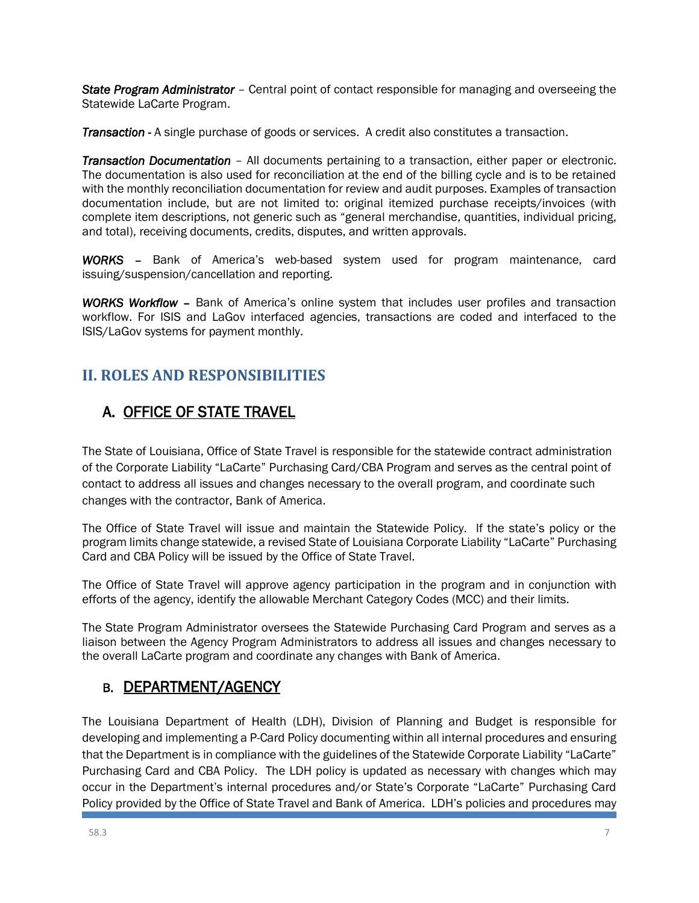*State Program Administrator* – Central point of contact responsible for managing and overseeing the Statewide LaCarte Program.

*Transaction* - A single purchase of goods or services. A credit also constitutes a transaction.

*Transaction Documentation* – All documents pertaining to a transaction, either paper or electronic. The documentation is also used for reconciliation at the end of the billing cycle and is to be retained with the monthly reconciliation documentation for review and audit purposes. Examples of transaction documentation include, but are not limited to: original itemized purchase receipts/invoices (with complete item descriptions, not generic such as "general merchandise, quantities, individual pricing, and total), receiving documents, credits, disputes, and written approvals.

*WORKS* – Bank of America's web-based system used for program maintenance, card issuing/suspension/cancellation and reporting.

*WORKS Workflow* – Bank of America's online system that includes user profiles and transaction workflow. For ISIS and LaGov interfaced agencies, transactions are coded and interfaced to the ISIS/LaGov systems for payment monthly.

# **II. ROLES AND RESPONSIBILITIES**

# A. OFFICE OF STATE TRAVEL

The State of Louisiana, Office of State Travel is responsible for the statewide contract administration of the Corporate Liability "LaCarte" Purchasing Card/CBA Program and serves as the central point of contact to address all issues and changes necessary to the overall program, and coordinate such changes with the contractor, Bank of America.

The Office of State Travel will issue and maintain the Statewide Policy. If the state's policy or the program limits change statewide, a revised State of Louisiana Corporate Liability "LaCarte" Purchasing Card and CBA Policy will be issued by the Office of State Travel.

The Office of State Travel will approve agency participation in the program and in conjunction with efforts of the agency, identify the allowable Merchant Category Codes (MCC) and their limits.

The State Program Administrator oversees the Statewide Purchasing Card Program and serves as a liaison between the Agency Program Administrators to address all issues and changes necessary to the overall LaCarte program and coordinate any changes with Bank of America.

## B. DEPARTMENT/AGENCY

The Louisiana Department of Health (LDH), Division of Planning and Budget is responsible for developing and implementing a P-Card Policy documenting within all internal procedures and ensuring that the Department is in compliance with the guidelines of the Statewide Corporate Liability "LaCarte" Purchasing Card and CBA Policy. The LDH policy is updated as necessary with changes which may occur in the Department's internal procedures and/or State's Corporate "LaCarte" Purchasing Card Policy provided by the Office of State Travel and Bank of America. LDH's policies and procedures may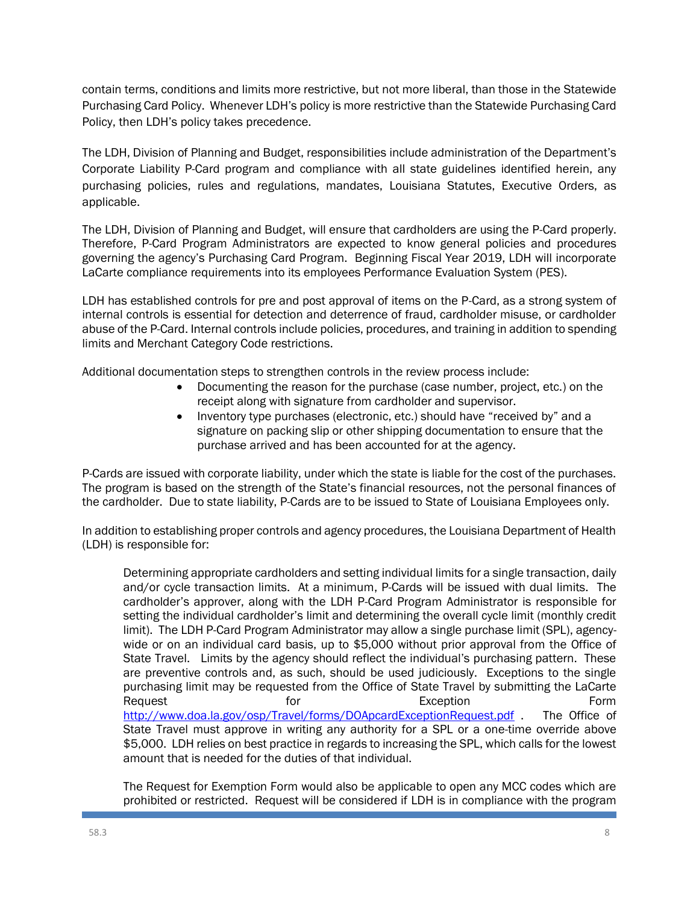contain terms, conditions and limits more restrictive, but not more liberal, than those in the Statewide Purchasing Card Policy. Whenever LDH's policy is more restrictive than the Statewide Purchasing Card Policy, then LDH's policy takes precedence.

The LDH, Division of Planning and Budget, responsibilities include administration of the Department's Corporate Liability P-Card program and compliance with all state guidelines identified herein, any purchasing policies, rules and regulations, mandates, Louisiana Statutes, Executive Orders, as applicable.

The LDH, Division of Planning and Budget, will ensure that cardholders are using the P-Card properly. Therefore, P-Card Program Administrators are expected to know general policies and procedures governing the agency's Purchasing Card Program. Beginning Fiscal Year 2019, LDH will incorporate LaCarte compliance requirements into its employees Performance Evaluation System (PES).

LDH has established controls for pre and post approval of items on the P-Card, as a strong system of internal controls is essential for detection and deterrence of fraud, cardholder misuse, or cardholder abuse of the P-Card. Internal controls include policies, procedures, and training in addition to spending limits and Merchant Category Code restrictions.

Additional documentation steps to strengthen controls in the review process include:

- Documenting the reason for the purchase (case number, project, etc.) on the receipt along with signature from cardholder and supervisor.
- Inventory type purchases (electronic, etc.) should have "received by" and a signature on packing slip or other shipping documentation to ensure that the purchase arrived and has been accounted for at the agency.

P-Cards are issued with corporate liability, under which the state is liable for the cost of the purchases. The program is based on the strength of the State's financial resources, not the personal finances of the cardholder. Due to state liability, P-Cards are to be issued to State of Louisiana Employees only.

In addition to establishing proper controls and agency procedures, the Louisiana Department of Health (LDH) is responsible for:

Determining appropriate cardholders and setting individual limits for a single transaction, daily and/or cycle transaction limits. At a minimum, P-Cards will be issued with dual limits. The cardholder's approver, along with the LDH P-Card Program Administrator is responsible for setting the individual cardholder's limit and determining the overall cycle limit (monthly credit limit). The LDH P-Card Program Administrator may allow a single purchase limit (SPL), agencywide or on an individual card basis, up to \$5,000 without prior approval from the Office of State Travel. Limits by the agency should reflect the individual's purchasing pattern. These are preventive controls and, as such, should be used judiciously. Exceptions to the single purchasing limit may be requested from the Office of State Travel by submitting the LaCarte Request **Form** Form **Exception** Form **Form** <http://www.doa.la.gov/osp/Travel/forms/DOApcardExceptionRequest.pdf> The Office of State Travel must approve in writing any authority for a SPL or a one-time override above \$5,000. LDH relies on best practice in regards to increasing the SPL, which calls for the lowest amount that is needed for the duties of that individual.

The Request for Exemption Form would also be applicable to open any MCC codes which are prohibited or restricted. Request will be considered if LDH is in compliance with the program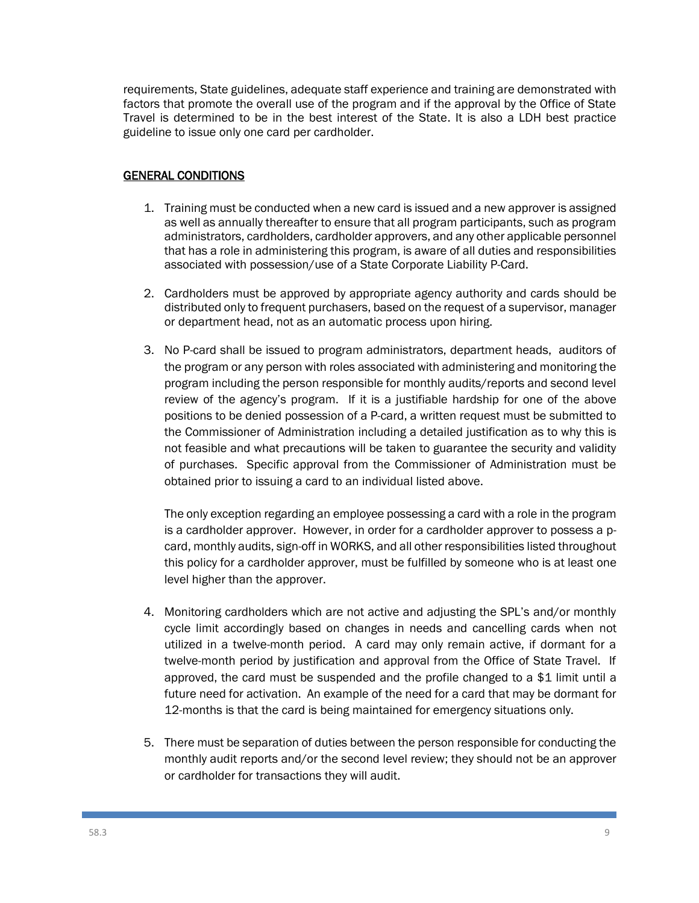requirements, State guidelines, adequate staff experience and training are demonstrated with factors that promote the overall use of the program and if the approval by the Office of State Travel is determined to be in the best interest of the State. It is also a LDH best practice guideline to issue only one card per cardholder.

#### GENERAL CONDITIONS

- 1. Training must be conducted when a new card is issued and a new approver is assigned as well as annually thereafter to ensure that all program participants, such as program administrators, cardholders, cardholder approvers, and any other applicable personnel that has a role in administering this program, is aware of all duties and responsibilities associated with possession/use of a State Corporate Liability P-Card.
- 2. Cardholders must be approved by appropriate agency authority and cards should be distributed only to frequent purchasers, based on the request of a supervisor, manager or department head, not as an automatic process upon hiring.
- 3. No P-card shall be issued to program administrators, department heads, auditors of the program or any person with roles associated with administering and monitoring the program including the person responsible for monthly audits/reports and second level review of the agency's program. If it is a justifiable hardship for one of the above positions to be denied possession of a P-card, a written request must be submitted to the Commissioner of Administration including a detailed justification as to why this is not feasible and what precautions will be taken to guarantee the security and validity of purchases. Specific approval from the Commissioner of Administration must be obtained prior to issuing a card to an individual listed above.

The only exception regarding an employee possessing a card with a role in the program is a cardholder approver. However, in order for a cardholder approver to possess a pcard, monthly audits, sign-off in WORKS, and all other responsibilities listed throughout this policy for a cardholder approver, must be fulfilled by someone who is at least one level higher than the approver.

- 4. Monitoring cardholders which are not active and adjusting the SPL's and/or monthly cycle limit accordingly based on changes in needs and cancelling cards when not utilized in a twelve-month period. A card may only remain active, if dormant for a twelve-month period by justification and approval from the Office of State Travel. If approved, the card must be suspended and the profile changed to a \$1 limit until a future need for activation. An example of the need for a card that may be dormant for 12-months is that the card is being maintained for emergency situations only.
- 5. There must be separation of duties between the person responsible for conducting the monthly audit reports and/or the second level review; they should not be an approver or cardholder for transactions they will audit.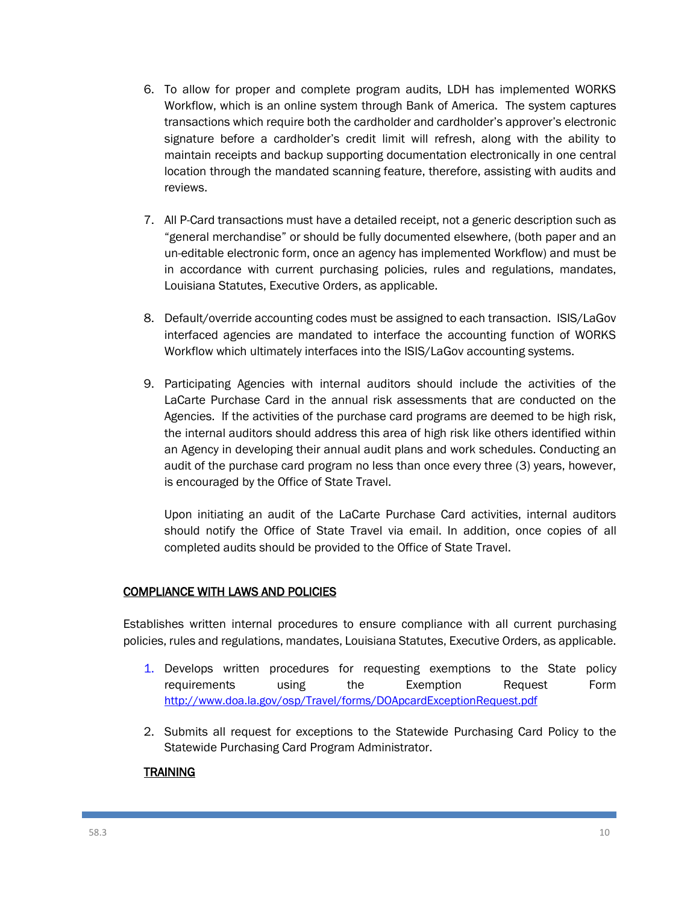- 6. To allow for proper and complete program audits, LDH has implemented WORKS Workflow, which is an online system through Bank of America. The system captures transactions which require both the cardholder and cardholder's approver's electronic signature before a cardholder's credit limit will refresh, along with the ability to maintain receipts and backup supporting documentation electronically in one central location through the mandated scanning feature, therefore, assisting with audits and reviews.
- 7. All P-Card transactions must have a detailed receipt, not a generic description such as "general merchandise" or should be fully documented elsewhere, (both paper and an un-editable electronic form, once an agency has implemented Workflow) and must be in accordance with current purchasing policies, rules and regulations, mandates, Louisiana Statutes, Executive Orders, as applicable.
- 8. Default/override accounting codes must be assigned to each transaction. ISIS/LaGov interfaced agencies are mandated to interface the accounting function of WORKS Workflow which ultimately interfaces into the ISIS/LaGov accounting systems.
- 9. Participating Agencies with internal auditors should include the activities of the LaCarte Purchase Card in the annual risk assessments that are conducted on the Agencies. If the activities of the purchase card programs are deemed to be high risk, the internal auditors should address this area of high risk like others identified within an Agency in developing their annual audit plans and work schedules. Conducting an audit of the purchase card program no less than once every three (3) years, however, is encouraged by the Office of State Travel.

Upon initiating an audit of the LaCarte Purchase Card activities, internal auditors should notify the Office of State Travel via email. In addition, once copies of all completed audits should be provided to the Office of State Travel.

#### COMPLIANCE WITH LAWS AND POLICIES

Establishes written internal procedures to ensure compliance with all current purchasing policies, rules and regulations, mandates, Louisiana Statutes, Executive Orders, as applicable.

- 1. Develops written procedures for requesting exemptions to the State policy requirements using the Exemption Request Form <http://www.doa.la.gov/osp/Travel/forms/DOApcardExceptionRequest.pdf>
- 2. Submits all request for exceptions to the Statewide Purchasing Card Policy to the Statewide Purchasing Card Program Administrator.

#### **TRAINING**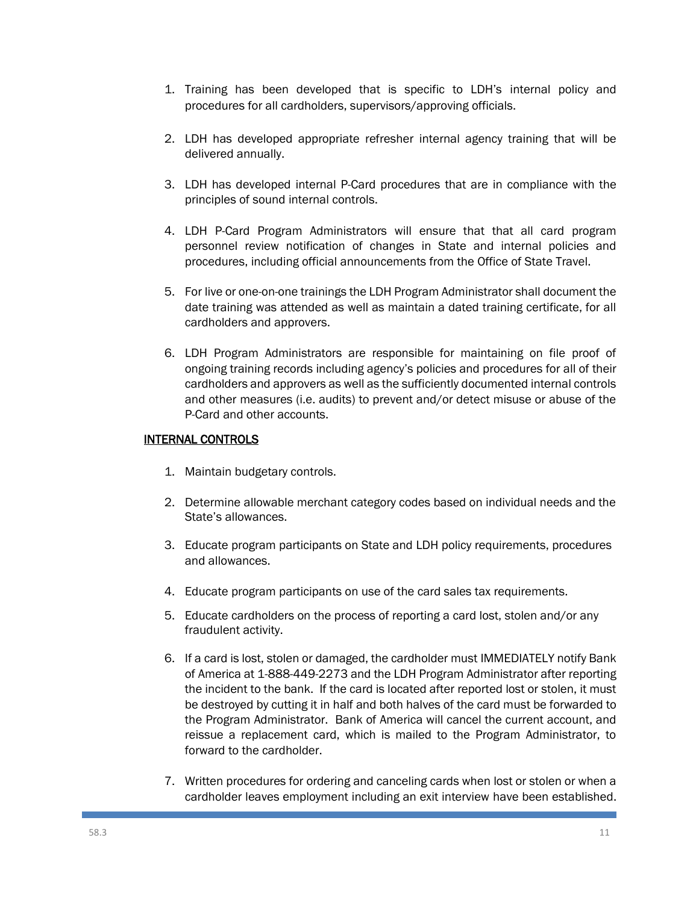- 1. Training has been developed that is specific to LDH's internal policy and procedures for all cardholders, supervisors/approving officials.
- 2. LDH has developed appropriate refresher internal agency training that will be delivered annually.
- 3. LDH has developed internal P-Card procedures that are in compliance with the principles of sound internal controls.
- 4. LDH P-Card Program Administrators will ensure that that all card program personnel review notification of changes in State and internal policies and procedures, including official announcements from the Office of State Travel.
- 5. For live or one-on-one trainings the LDH Program Administrator shall document the date training was attended as well as maintain a dated training certificate, for all cardholders and approvers.
- 6. LDH Program Administrators are responsible for maintaining on file proof of ongoing training records including agency's policies and procedures for all of their cardholders and approvers as well as the sufficiently documented internal controls and other measures (i.e. audits) to prevent and/or detect misuse or abuse of the P-Card and other accounts.

#### INTERNAL CONTROLS

- 1. Maintain budgetary controls.
- 2. Determine allowable merchant category codes based on individual needs and the State's allowances.
- 3. Educate program participants on State and LDH policy requirements, procedures and allowances.
- 4. Educate program participants on use of the card sales tax requirements.
- 5. Educate cardholders on the process of reporting a card lost, stolen and/or any fraudulent activity.
- 6. If a card is lost, stolen or damaged, the cardholder must IMMEDIATELY notify Bank of America at 1-888-449-2273 and the LDH Program Administrator after reporting the incident to the bank. If the card is located after reported lost or stolen, it must be destroyed by cutting it in half and both halves of the card must be forwarded to the Program Administrator. Bank of America will cancel the current account, and reissue a replacement card, which is mailed to the Program Administrator, to forward to the cardholder.
- 7. Written procedures for ordering and canceling cards when lost or stolen or when a cardholder leaves employment including an exit interview have been established.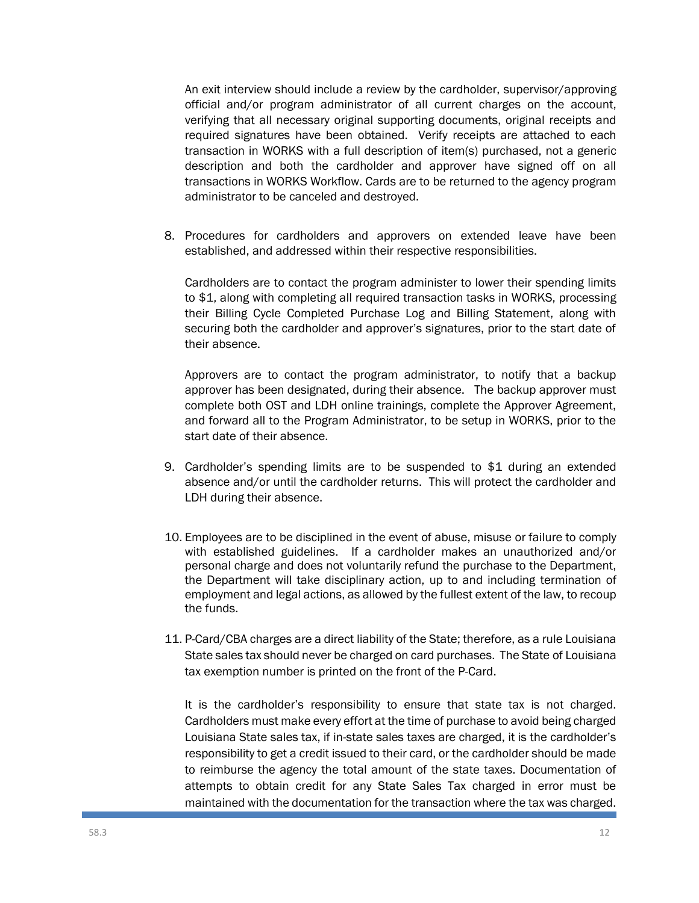An exit interview should include a review by the cardholder, supervisor/approving official and/or program administrator of all current charges on the account, verifying that all necessary original supporting documents, original receipts and required signatures have been obtained. Verify receipts are attached to each transaction in WORKS with a full description of item(s) purchased, not a generic description and both the cardholder and approver have signed off on all transactions in WORKS Workflow. Cards are to be returned to the agency program administrator to be canceled and destroyed.

8. Procedures for cardholders and approvers on extended leave have been established, and addressed within their respective responsibilities.

Cardholders are to contact the program administer to lower their spending limits to \$1, along with completing all required transaction tasks in WORKS, processing their Billing Cycle Completed Purchase Log and Billing Statement, along with securing both the cardholder and approver's signatures, prior to the start date of their absence.

Approvers are to contact the program administrator, to notify that a backup approver has been designated, during their absence. The backup approver must complete both OST and LDH online trainings, complete the Approver Agreement, and forward all to the Program Administrator, to be setup in WORKS, prior to the start date of their absence.

- 9. Cardholder's spending limits are to be suspended to \$1 during an extended absence and/or until the cardholder returns. This will protect the cardholder and LDH during their absence.
- 10. Employees are to be disciplined in the event of abuse, misuse or failure to comply with established guidelines. If a cardholder makes an unauthorized and/or personal charge and does not voluntarily refund the purchase to the Department, the Department will take disciplinary action, up to and including termination of employment and legal actions, as allowed by the fullest extent of the law, to recoup the funds.
- 11. P-Card/CBA charges are a direct liability of the State; therefore, as a rule Louisiana State sales tax should never be charged on card purchases. The State of Louisiana tax exemption number is printed on the front of the P-Card.

It is the cardholder's responsibility to ensure that state tax is not charged. Cardholders must make every effort at the time of purchase to avoid being charged Louisiana State sales tax, if in-state sales taxes are charged, it is the cardholder's responsibility to get a credit issued to their card, or the cardholder should be made to reimburse the agency the total amount of the state taxes. Documentation of attempts to obtain credit for any State Sales Tax charged in error must be maintained with the documentation for the transaction where the tax was charged.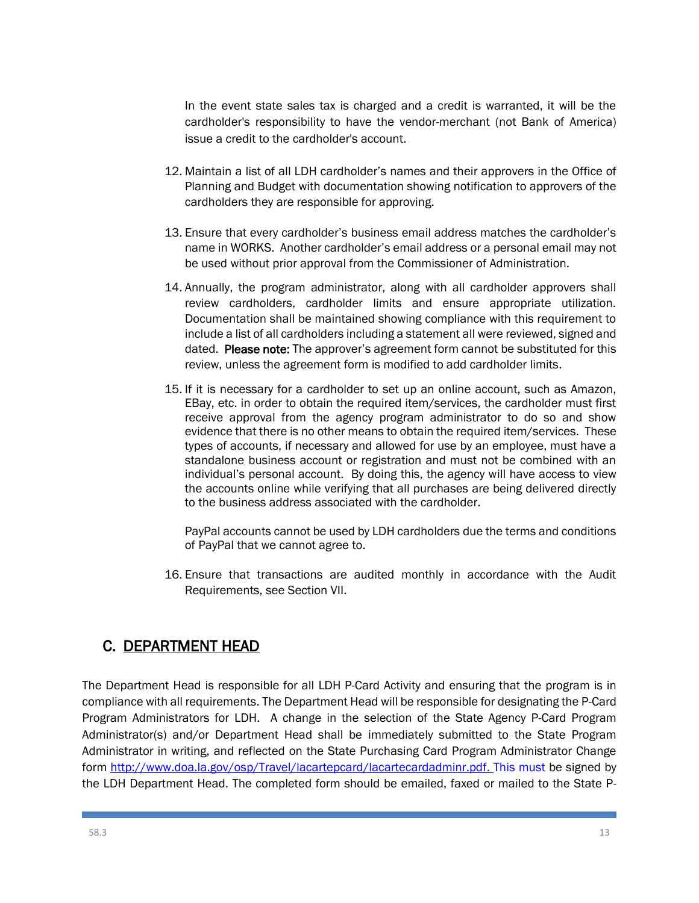In the event state sales tax is charged and a credit is warranted, it will be the cardholder's responsibility to have the vendor-merchant (not Bank of America) issue a credit to the cardholder's account.

- 12. Maintain a list of all LDH cardholder's names and their approvers in the Office of Planning and Budget with documentation showing notification to approvers of the cardholders they are responsible for approving.
- 13. Ensure that every cardholder's business email address matches the cardholder's name in WORKS. Another cardholder's email address or a personal email may not be used without prior approval from the Commissioner of Administration.
- 14. Annually, the program administrator, along with all cardholder approvers shall review cardholders, cardholder limits and ensure appropriate utilization. Documentation shall be maintained showing compliance with this requirement to include a list of all cardholders including a statement all were reviewed, signed and dated. Please note: The approver's agreement form cannot be substituted for this review, unless the agreement form is modified to add cardholder limits.
- 15. If it is necessary for a cardholder to set up an online account, such as Amazon, EBay, etc. in order to obtain the required item/services, the cardholder must first receive approval from the agency program administrator to do so and show evidence that there is no other means to obtain the required item/services. These types of accounts, if necessary and allowed for use by an employee, must have a standalone business account or registration and must not be combined with an individual's personal account. By doing this, the agency will have access to view the accounts online while verifying that all purchases are being delivered directly to the business address associated with the cardholder.

PayPal accounts cannot be used by LDH cardholders due the terms and conditions of PayPal that we cannot agree to.

16. Ensure that transactions are audited monthly in accordance with the Audit Requirements, see Section VII.

# C. DEPARTMENT HEAD

The Department Head is responsible for all LDH P-Card Activity and ensuring that the program is in compliance with all requirements. The Department Head will be responsible for designating the P-Card Program Administrators for LDH. A change in the selection of the State Agency P-Card Program Administrator(s) and/or Department Head shall be immediately submitted to the State Program Administrator in writing, and reflected on the State Purchasing Card Program Administrator Change form [http://www.doa.la.gov/osp/Travel/lacartepcard/lacartecardadminr.pdf.](http://www.doa.la.gov/osp/Travel/lacartepcard/lacartecardadminr.pdf) This must be signed by the LDH Department Head. The completed form should be emailed, faxed or mailed to the State P-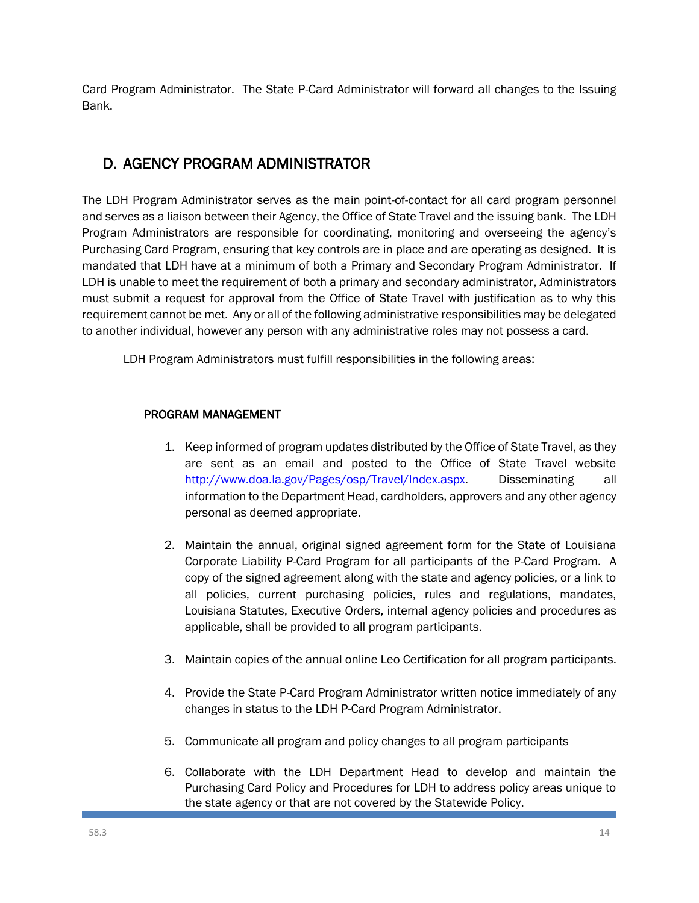Card Program Administrator. The State P-Card Administrator will forward all changes to the Issuing Bank.

# D. AGENCY PROGRAM ADMINISTRATOR

The LDH Program Administrator serves as the main point-of-contact for all card program personnel and serves as a liaison between their Agency, the Office of State Travel and the issuing bank. The LDH Program Administrators are responsible for coordinating, monitoring and overseeing the agency's Purchasing Card Program, ensuring that key controls are in place and are operating as designed. It is mandated that LDH have at a minimum of both a Primary and Secondary Program Administrator. If LDH is unable to meet the requirement of both a primary and secondary administrator, Administrators must submit a request for approval from the Office of State Travel with justification as to why this requirement cannot be met. Any or all of the following administrative responsibilities may be delegated to another individual, however any person with any administrative roles may not possess a card.

LDH Program Administrators must fulfill responsibilities in the following areas:

#### PROGRAM MANAGEMENT

- 1. Keep informed of program updates distributed by the Office of State Travel, as they are sent as an email and posted to the Office of State Travel website [http://www.doa.la.gov/Pages/osp/Travel/Index.aspx.](http://www.doa.la.gov/Pages/osp/Travel/Index.aspx) Disseminating all information to the Department Head, cardholders, approvers and any other agency personal as deemed appropriate.
- 2. Maintain the annual, original signed agreement form for the State of Louisiana Corporate Liability P-Card Program for all participants of the P-Card Program. A copy of the signed agreement along with the state and agency policies, or a link to all policies, current purchasing policies, rules and regulations, mandates, Louisiana Statutes, Executive Orders, internal agency policies and procedures as applicable, shall be provided to all program participants.
- 3. Maintain copies of the annual online Leo Certification for all program participants.
- 4. Provide the State P-Card Program Administrator written notice immediately of any changes in status to the LDH P-Card Program Administrator.
- 5. Communicate all program and policy changes to all program participants
- 6. Collaborate with the LDH Department Head to develop and maintain the Purchasing Card Policy and Procedures for LDH to address policy areas unique to the state agency or that are not covered by the Statewide Policy.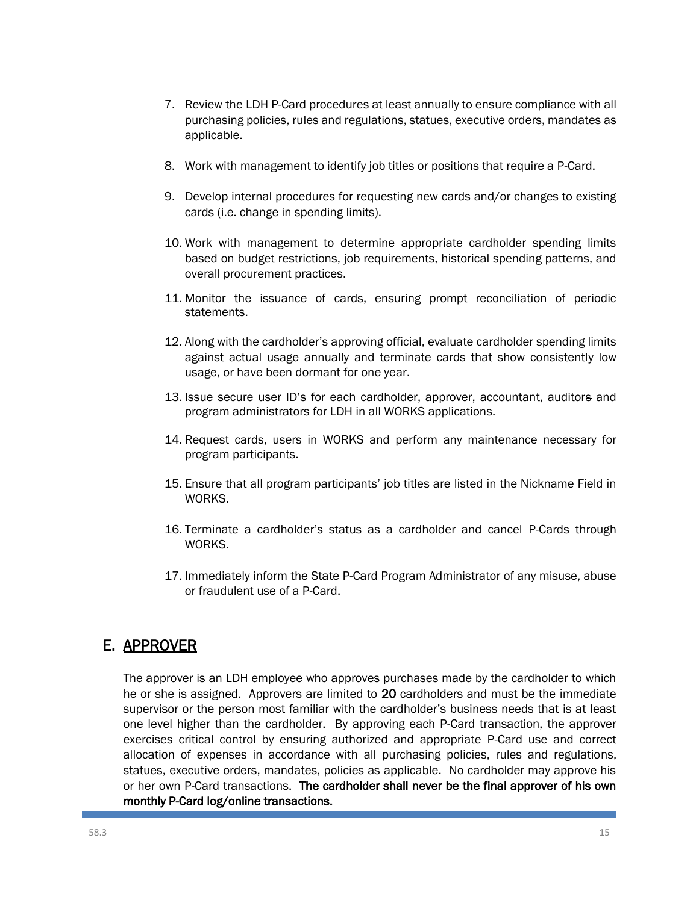- 7. Review the LDH P-Card procedures at least annually to ensure compliance with all purchasing policies, rules and regulations, statues, executive orders, mandates as applicable.
- 8. Work with management to identify job titles or positions that require a P-Card.
- 9. Develop internal procedures for requesting new cards and/or changes to existing cards (i.e. change in spending limits).
- 10. Work with management to determine appropriate cardholder spending limits based on budget restrictions, job requirements, historical spending patterns, and overall procurement practices.
- 11. Monitor the issuance of cards, ensuring prompt reconciliation of periodic statements.
- 12. Along with the cardholder's approving official, evaluate cardholder spending limits against actual usage annually and terminate cards that show consistently low usage, or have been dormant for one year.
- 13. Issue secure user ID's for each cardholder, approver, accountant, auditors and program administrators for LDH in all WORKS applications.
- 14. Request cards, users in WORKS and perform any maintenance necessary for program participants.
- 15. Ensure that all program participants' job titles are listed in the Nickname Field in WORKS.
- 16. Terminate a cardholder's status as a cardholder and cancel P-Cards through WORKS.
- 17. Immediately inform the State P-Card Program Administrator of any misuse, abuse or fraudulent use of a P-Card.

# E. APPROVER

The approver is an LDH employee who approves purchases made by the cardholder to which he or she is assigned. Approvers are limited to 20 cardholders and must be the immediate supervisor or the person most familiar with the cardholder's business needs that is at least one level higher than the cardholder. By approving each P-Card transaction, the approver exercises critical control by ensuring authorized and appropriate P-Card use and correct allocation of expenses in accordance with all purchasing policies, rules and regulations, statues, executive orders, mandates, policies as applicable. No cardholder may approve his or her own P-Card transactions. The cardholder shall never be the final approver of his own monthly P-Card log/online transactions.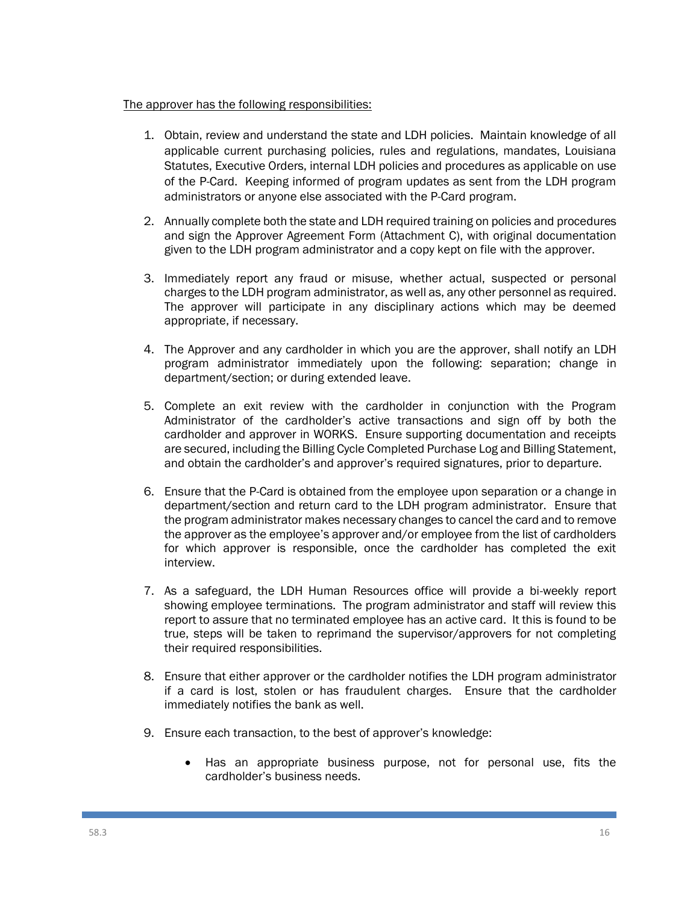#### The approver has the following responsibilities:

- 1. Obtain, review and understand the state and LDH policies. Maintain knowledge of all applicable current purchasing policies, rules and regulations, mandates, Louisiana Statutes, Executive Orders, internal LDH policies and procedures as applicable on use of the P-Card. Keeping informed of program updates as sent from the LDH program administrators or anyone else associated with the P-Card program.
- 2. Annually complete both the state and LDH required training on policies and procedures and sign the Approver Agreement Form (Attachment C), with original documentation given to the LDH program administrator and a copy kept on file with the approver.
- 3. Immediately report any fraud or misuse, whether actual, suspected or personal charges to the LDH program administrator, as well as, any other personnel as required. The approver will participate in any disciplinary actions which may be deemed appropriate, if necessary.
- 4. The Approver and any cardholder in which you are the approver, shall notify an LDH program administrator immediately upon the following: separation; change in department/section; or during extended leave.
- 5. Complete an exit review with the cardholder in conjunction with the Program Administrator of the cardholder's active transactions and sign off by both the cardholder and approver in WORKS. Ensure supporting documentation and receipts are secured, including the Billing Cycle Completed Purchase Log and Billing Statement, and obtain the cardholder's and approver's required signatures, prior to departure.
- 6. Ensure that the P-Card is obtained from the employee upon separation or a change in department/section and return card to the LDH program administrator. Ensure that the program administrator makes necessary changes to cancel the card and to remove the approver as the employee's approver and/or employee from the list of cardholders for which approver is responsible, once the cardholder has completed the exit interview.
- 7. As a safeguard, the LDH Human Resources office will provide a bi-weekly report showing employee terminations. The program administrator and staff will review this report to assure that no terminated employee has an active card. It this is found to be true, steps will be taken to reprimand the supervisor/approvers for not completing their required responsibilities.
- 8. Ensure that either approver or the cardholder notifies the LDH program administrator if a card is lost, stolen or has fraudulent charges. Ensure that the cardholder immediately notifies the bank as well.
- 9. Ensure each transaction, to the best of approver's knowledge:
	- Has an appropriate business purpose, not for personal use, fits the cardholder's business needs.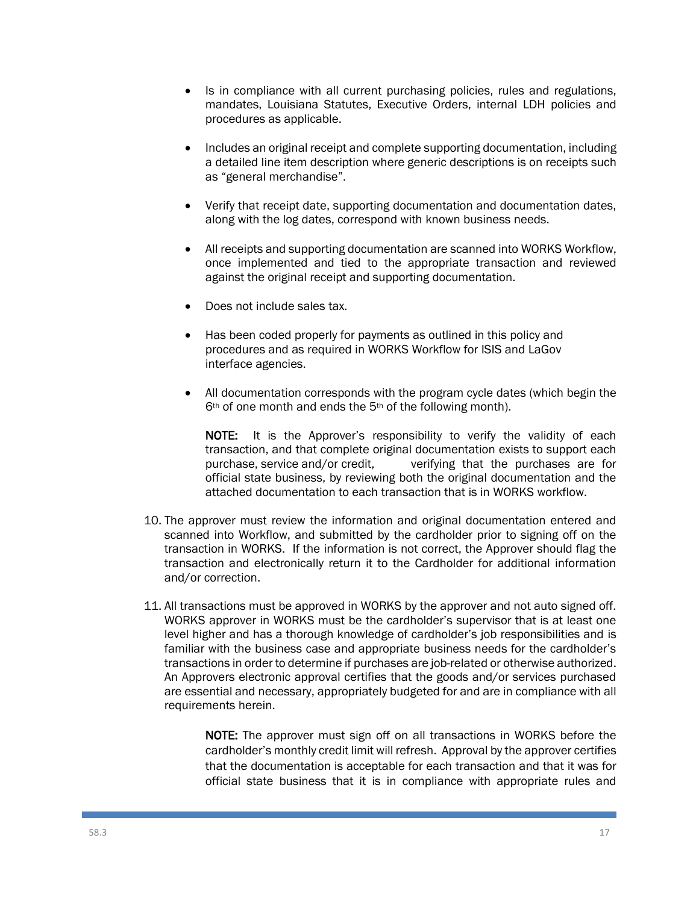- Is in compliance with all current purchasing policies, rules and regulations, mandates, Louisiana Statutes, Executive Orders, internal LDH policies and procedures as applicable.
- Includes an original receipt and complete supporting documentation, including a detailed line item description where generic descriptions is on receipts such as "general merchandise".
- Verify that receipt date, supporting documentation and documentation dates, along with the log dates, correspond with known business needs.
- All receipts and supporting documentation are scanned into WORKS Workflow, once implemented and tied to the appropriate transaction and reviewed against the original receipt and supporting documentation.
- Does not include sales tax.
- Has been coded properly for payments as outlined in this policy and procedures and as required in WORKS Workflow for ISIS and LaGov interface agencies.
- All documentation corresponds with the program cycle dates (which begin the 6th of one month and ends the 5th of the following month).

NOTE: It is the Approver's responsibility to verify the validity of each transaction, and that complete original documentation exists to support each purchase, service and/or credit, verifying that the purchases are for official state business, by reviewing both the original documentation and the attached documentation to each transaction that is in WORKS workflow.

- 10. The approver must review the information and original documentation entered and scanned into Workflow, and submitted by the cardholder prior to signing off on the transaction in WORKS. If the information is not correct, the Approver should flag the transaction and electronically return it to the Cardholder for additional information and/or correction.
- 11. All transactions must be approved in WORKS by the approver and not auto signed off. WORKS approver in WORKS must be the cardholder's supervisor that is at least one level higher and has a thorough knowledge of cardholder's job responsibilities and is familiar with the business case and appropriate business needs for the cardholder's transactions in order to determine if purchases are job-related or otherwise authorized. An Approvers electronic approval certifies that the goods and/or services purchased are essential and necessary, appropriately budgeted for and are in compliance with all requirements herein.

NOTE: The approver must sign off on all transactions in WORKS before the cardholder's monthly credit limit will refresh. Approval by the approver certifies that the documentation is acceptable for each transaction and that it was for official state business that it is in compliance with appropriate rules and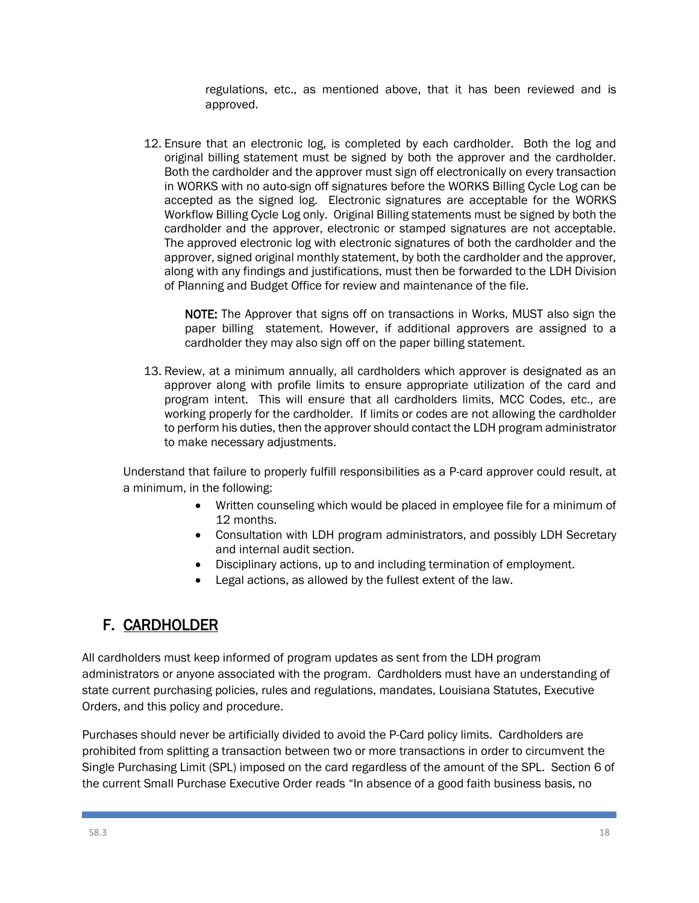regulations, etc., as mentioned above, that it has been reviewed and is approved.

12. Ensure that an electronic log, is completed by each cardholder. Both the log and original billing statement must be signed by both the approver and the cardholder. Both the cardholder and the approver must sign off electronically on every transaction in WORKS with no auto-sign off signatures before the WORKS Billing Cycle Log can be accepted as the signed log. Electronic signatures are acceptable for the WORKS Workflow Billing Cycle Log only. Original Billing statements must be signed by both the cardholder and the approver, electronic or stamped signatures are not acceptable. The approved electronic log with electronic signatures of both the cardholder and the approver, signed original monthly statement, by both the cardholder and the approver, along with any findings and justifications, must then be forwarded to the LDH Division of Planning and Budget Office for review and maintenance of the file.

NOTE: The Approver that signs off on transactions in Works, MUST also sign the paper billing statement. However, if additional approvers are assigned to a cardholder they may also sign off on the paper billing statement.

13. Review, at a minimum annually, all cardholders which approver is designated as an approver along with profile limits to ensure appropriate utilization of the card and program intent. This will ensure that all cardholders limits, MCC Codes, etc., are working properly for the cardholder. If limits or codes are not allowing the cardholder to perform his duties, then the approver should contact the LDH program administrator to make necessary adjustments.

Understand that failure to properly fulfill responsibilities as a P-card approver could result, at a minimum, in the following:

- Written counseling which would be placed in employee file for a minimum of 12 months.
- Consultation with LDH program administrators, and possibly LDH Secretary and internal audit section.
- Disciplinary actions, up to and including termination of employment.
- Legal actions, as allowed by the fullest extent of the law.

# F. CARDHOLDER

All cardholders must keep informed of program updates as sent from the LDH program administrators or anyone associated with the program. Cardholders must have an understanding of state current purchasing policies, rules and regulations, mandates, Louisiana Statutes, Executive Orders, and this policy and procedure.

Purchases should never be artificially divided to avoid the P-Card policy limits. Cardholders are prohibited from splitting a transaction between two or more transactions in order to circumvent the Single Purchasing Limit (SPL) imposed on the card regardless of the amount of the SPL. Section 6 of the current Small Purchase Executive Order reads "In absence of a good faith business basis, no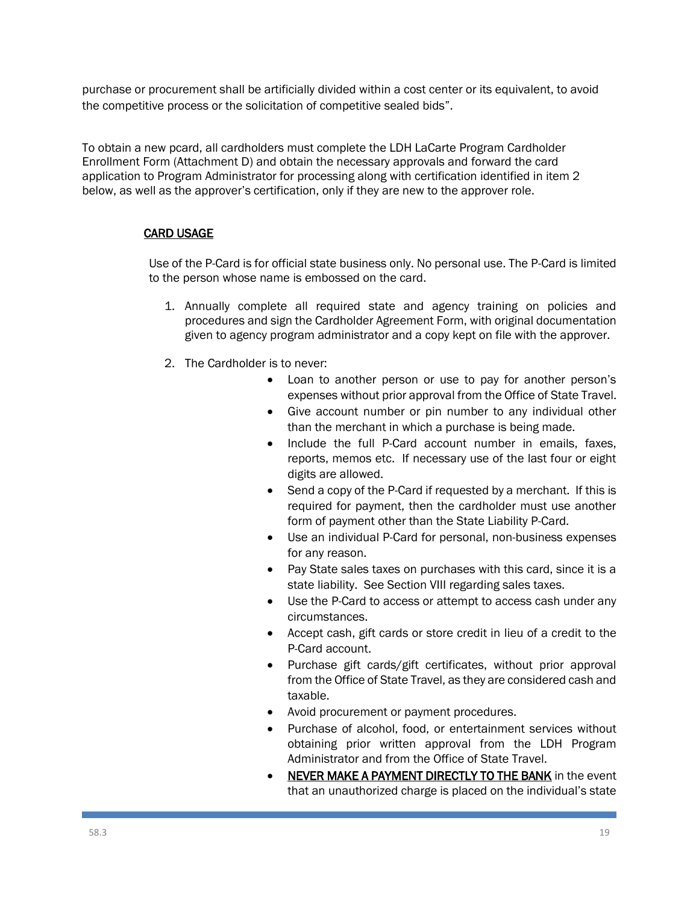purchase or procurement shall be artificially divided within a cost center or its equivalent, to avoid the competitive process or the solicitation of competitive sealed bids".

To obtain a new pcard, all cardholders must complete the LDH LaCarte Program Cardholder Enrollment Form (Attachment D) and obtain the necessary approvals and forward the card application to Program Administrator for processing along with certification identified in item 2 below, as well as the approver's certification, only if they are new to the approver role.

#### CARD USAGE

Use of the P-Card is for official state business only. No personal use. The P-Card is limited to the person whose name is embossed on the card.

- 1. Annually complete all required state and agency training on policies and procedures and sign the Cardholder Agreement Form, with original documentation given to agency program administrator and a copy kept on file with the approver.
- 2. The Cardholder is to never:
	- Loan to another person or use to pay for another person's expenses without prior approval from the Office of State Travel.
	- Give account number or pin number to any individual other than the merchant in which a purchase is being made.
	- Include the full P-Card account number in emails, faxes, reports, memos etc. If necessary use of the last four or eight digits are allowed.
	- Send a copy of the P-Card if requested by a merchant. If this is required for payment, then the cardholder must use another form of payment other than the State Liability P-Card.
	- Use an individual P-Card for personal, non-business expenses for any reason.
	- Pay State sales taxes on purchases with this card, since it is a state liability. See Section VIII regarding sales taxes.
	- Use the P-Card to access or attempt to access cash under any circumstances.
	- Accept cash, gift cards or store credit in lieu of a credit to the P-Card account.
	- Purchase gift cards/gift certificates, without prior approval from the Office of State Travel, as they are considered cash and taxable.
	- Avoid procurement or payment procedures.
	- Purchase of alcohol, food, or entertainment services without obtaining prior written approval from the LDH Program Administrator and from the Office of State Travel.
	- NEVER MAKE A PAYMENT DIRECTLY TO THE BANK in the event that an unauthorized charge is placed on the individual's state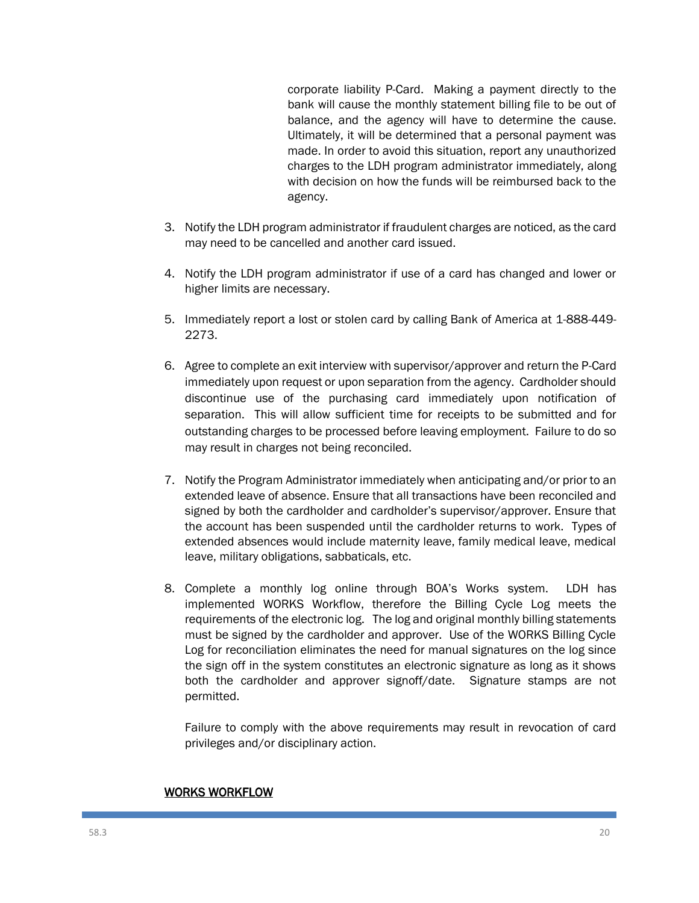corporate liability P-Card. Making a payment directly to the bank will cause the monthly statement billing file to be out of balance, and the agency will have to determine the cause. Ultimately, it will be determined that a personal payment was made. In order to avoid this situation, report any unauthorized charges to the LDH program administrator immediately, along with decision on how the funds will be reimbursed back to the agency.

- 3. Notify the LDH program administrator if fraudulent charges are noticed, as the card may need to be cancelled and another card issued.
- 4. Notify the LDH program administrator if use of a card has changed and lower or higher limits are necessary.
- 5. Immediately report a lost or stolen card by calling Bank of America at 1-888-449- 2273.
- 6. Agree to complete an exit interview with supervisor/approver and return the P-Card immediately upon request or upon separation from the agency. Cardholder should discontinue use of the purchasing card immediately upon notification of separation. This will allow sufficient time for receipts to be submitted and for outstanding charges to be processed before leaving employment. Failure to do so may result in charges not being reconciled.
- 7. Notify the Program Administrator immediately when anticipating and/or prior to an extended leave of absence. Ensure that all transactions have been reconciled and signed by both the cardholder and cardholder's supervisor/approver. Ensure that the account has been suspended until the cardholder returns to work. Types of extended absences would include maternity leave, family medical leave, medical leave, military obligations, sabbaticals, etc.
- 8. Complete a monthly log online through BOA's Works system. LDH has implemented WORKS Workflow, therefore the Billing Cycle Log meets the requirements of the electronic log. The log and original monthly billing statements must be signed by the cardholder and approver. Use of the WORKS Billing Cycle Log for reconciliation eliminates the need for manual signatures on the log since the sign off in the system constitutes an electronic signature as long as it shows both the cardholder and approver signoff/date. Signature stamps are not permitted.

Failure to comply with the above requirements may result in revocation of card privileges and/or disciplinary action.

#### WORKS WORKFLOW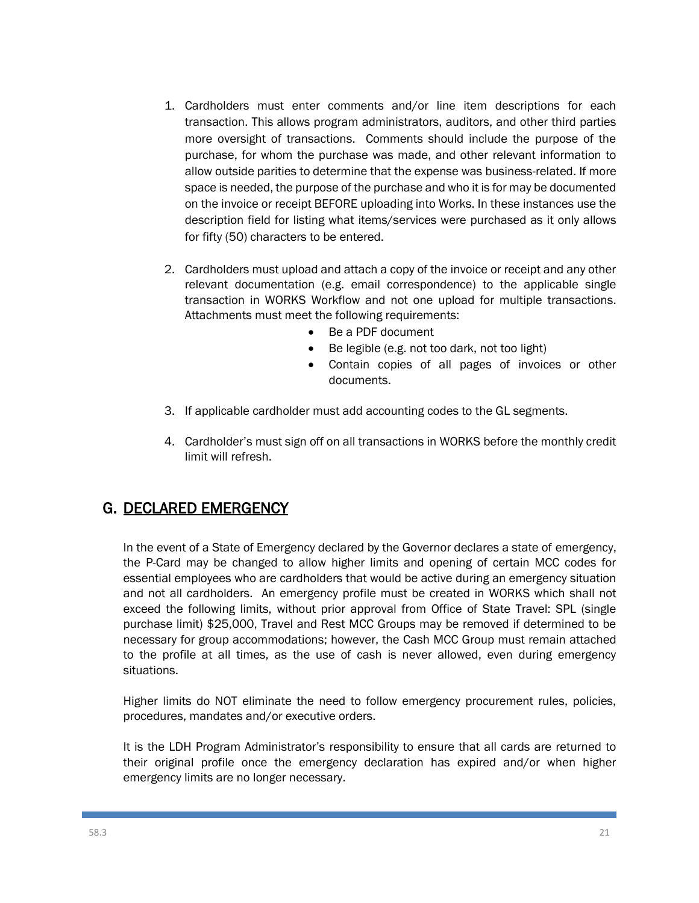- 1. Cardholders must enter comments and/or line item descriptions for each transaction. This allows program administrators, auditors, and other third parties more oversight of transactions. Comments should include the purpose of the purchase, for whom the purchase was made, and other relevant information to allow outside parities to determine that the expense was business-related. If more space is needed, the purpose of the purchase and who it is for may be documented on the invoice or receipt BEFORE uploading into Works. In these instances use the description field for listing what items/services were purchased as it only allows for fifty (50) characters to be entered.
- 2. Cardholders must upload and attach a copy of the invoice or receipt and any other relevant documentation (e.g. email correspondence) to the applicable single transaction in WORKS Workflow and not one upload for multiple transactions. Attachments must meet the following requirements:
	- Be a PDF document
	- Be legible (e.g. not too dark, not too light)
	- Contain copies of all pages of invoices or other documents.
- 3. If applicable cardholder must add accounting codes to the GL segments.
- 4. Cardholder's must sign off on all transactions in WORKS before the monthly credit limit will refresh.

## G. DECLARED EMERGENCY

In the event of a State of Emergency declared by the Governor declares a state of emergency, the P-Card may be changed to allow higher limits and opening of certain MCC codes for essential employees who are cardholders that would be active during an emergency situation and not all cardholders. An emergency profile must be created in WORKS which shall not exceed the following limits, without prior approval from Office of State Travel: SPL (single purchase limit) \$25,000, Travel and Rest MCC Groups may be removed if determined to be necessary for group accommodations; however, the Cash MCC Group must remain attached to the profile at all times, as the use of cash is never allowed, even during emergency situations.

Higher limits do NOT eliminate the need to follow emergency procurement rules, policies, procedures, mandates and/or executive orders.

It is the LDH Program Administrator's responsibility to ensure that all cards are returned to their original profile once the emergency declaration has expired and/or when higher emergency limits are no longer necessary.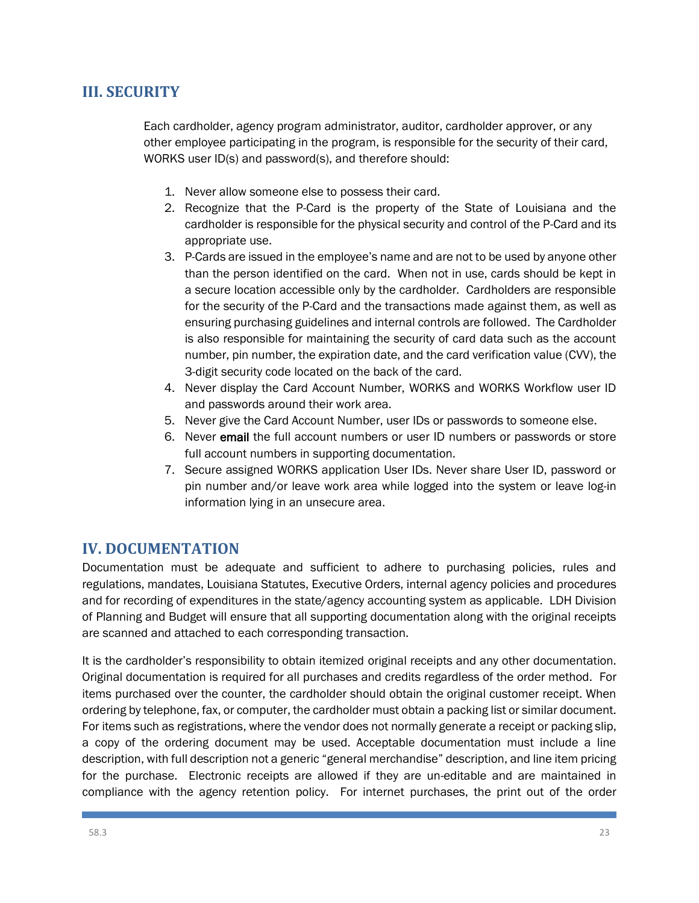## **III. SECURITY**

Each cardholder, agency program administrator, auditor, cardholder approver, or any other employee participating in the program, is responsible for the security of their card, WORKS user ID(s) and password(s), and therefore should:

- 1. Never allow someone else to possess their card.
- 2. Recognize that the P-Card is the property of the State of Louisiana and the cardholder is responsible for the physical security and control of the P-Card and its appropriate use.
- 3. P-Cards are issued in the employee's name and are not to be used by anyone other than the person identified on the card. When not in use, cards should be kept in a secure location accessible only by the cardholder. Cardholders are responsible for the security of the P-Card and the transactions made against them, as well as ensuring purchasing guidelines and internal controls are followed. The Cardholder is also responsible for maintaining the security of card data such as the account number, pin number, the expiration date, and the card verification value (CVV), the 3-digit security code located on the back of the card.
- 4. Never display the Card Account Number, WORKS and WORKS Workflow user ID and passwords around their work area.
- 5. Never give the Card Account Number, user IDs or passwords to someone else.
- 6. Never email the full account numbers or user ID numbers or passwords or store full account numbers in supporting documentation.
- 7. Secure assigned WORKS application User IDs. Never share User ID, password or pin number and/or leave work area while logged into the system or leave log-in information lying in an unsecure area.

### **IV. DOCUMENTATION**

Documentation must be adequate and sufficient to adhere to purchasing policies, rules and regulations, mandates, Louisiana Statutes, Executive Orders, internal agency policies and procedures and for recording of expenditures in the state/agency accounting system as applicable. LDH Division of Planning and Budget will ensure that all supporting documentation along with the original receipts are scanned and attached to each corresponding transaction.

It is the cardholder's responsibility to obtain itemized original receipts and any other documentation. Original documentation is required for all purchases and credits regardless of the order method. For items purchased over the counter, the cardholder should obtain the original customer receipt. When ordering by telephone, fax, or computer, the cardholder must obtain a packing list or similar document. For items such as registrations, where the vendor does not normally generate a receipt or packing slip, a copy of the ordering document may be used. Acceptable documentation must include a line description, with full description not a generic "general merchandise" description, and line item pricing for the purchase. Electronic receipts are allowed if they are un-editable and are maintained in compliance with the agency retention policy. For internet purchases, the print out of the order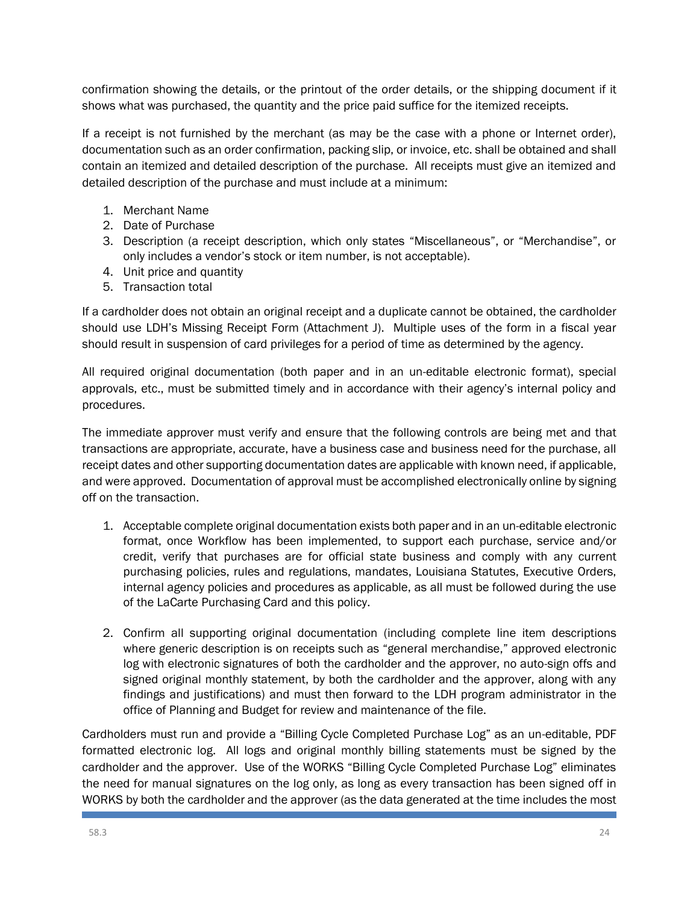confirmation showing the details, or the printout of the order details, or the shipping document if it shows what was purchased, the quantity and the price paid suffice for the itemized receipts.

If a receipt is not furnished by the merchant (as may be the case with a phone or Internet order), documentation such as an order confirmation, packing slip, or invoice, etc. shall be obtained and shall contain an itemized and detailed description of the purchase. All receipts must give an itemized and detailed description of the purchase and must include at a minimum:

- 1. Merchant Name
- 2. Date of Purchase
- 3. Description (a receipt description, which only states "Miscellaneous", or "Merchandise", or only includes a vendor's stock or item number, is not acceptable).
- 4. Unit price and quantity
- 5. Transaction total

If a cardholder does not obtain an original receipt and a duplicate cannot be obtained, the cardholder should use LDH's Missing Receipt Form (Attachment J). Multiple uses of the form in a fiscal year should result in suspension of card privileges for a period of time as determined by the agency.

All required original documentation (both paper and in an un-editable electronic format), special approvals, etc., must be submitted timely and in accordance with their agency's internal policy and procedures.

The immediate approver must verify and ensure that the following controls are being met and that transactions are appropriate, accurate, have a business case and business need for the purchase, all receipt dates and other supporting documentation dates are applicable with known need, if applicable, and were approved. Documentation of approval must be accomplished electronically online by signing off on the transaction.

- 1. Acceptable complete original documentation exists both paper and in an un-editable electronic format, once Workflow has been implemented, to support each purchase, service and/or credit, verify that purchases are for official state business and comply with any current purchasing policies, rules and regulations, mandates, Louisiana Statutes, Executive Orders, internal agency policies and procedures as applicable, as all must be followed during the use of the LaCarte Purchasing Card and this policy.
- 2. Confirm all supporting original documentation (including complete line item descriptions where generic description is on receipts such as "general merchandise," approved electronic log with electronic signatures of both the cardholder and the approver, no auto-sign offs and signed original monthly statement, by both the cardholder and the approver, along with any findings and justifications) and must then forward to the LDH program administrator in the office of Planning and Budget for review and maintenance of the file.

Cardholders must run and provide a "Billing Cycle Completed Purchase Log" as an un-editable, PDF formatted electronic log. All logs and original monthly billing statements must be signed by the cardholder and the approver. Use of the WORKS "Billing Cycle Completed Purchase Log" eliminates the need for manual signatures on the log only, as long as every transaction has been signed off in WORKS by both the cardholder and the approver (as the data generated at the time includes the most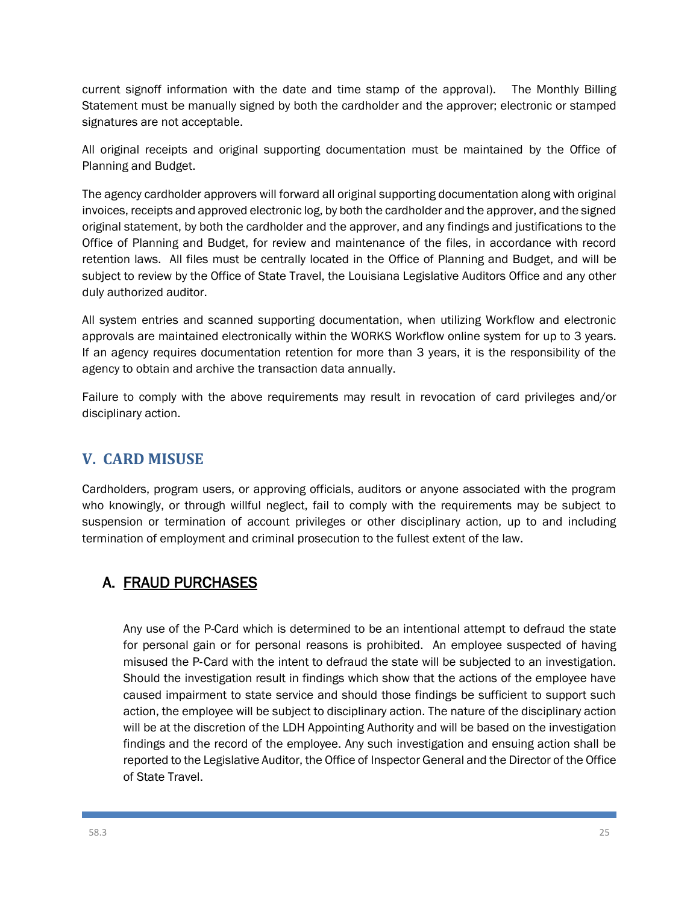current signoff information with the date and time stamp of the approval). The Monthly Billing Statement must be manually signed by both the cardholder and the approver; electronic or stamped signatures are not acceptable.

All original receipts and original supporting documentation must be maintained by the Office of Planning and Budget.

The agency cardholder approvers will forward all original supporting documentation along with original invoices, receipts and approved electronic log, by both the cardholder and the approver, and the signed original statement, by both the cardholder and the approver, and any findings and justifications to the Office of Planning and Budget, for review and maintenance of the files, in accordance with record retention laws. All files must be centrally located in the Office of Planning and Budget, and will be subject to review by the Office of State Travel, the Louisiana Legislative Auditors Office and any other duly authorized auditor.

All system entries and scanned supporting documentation, when utilizing Workflow and electronic approvals are maintained electronically within the WORKS Workflow online system for up to 3 years. If an agency requires documentation retention for more than 3 years, it is the responsibility of the agency to obtain and archive the transaction data annually.

Failure to comply with the above requirements may result in revocation of card privileges and/or disciplinary action.

## **V. CARD MISUSE**

Cardholders, program users, or approving officials, auditors or anyone associated with the program who knowingly, or through willful neglect, fail to comply with the requirements may be subject to suspension or termination of account privileges or other disciplinary action, up to and including termination of employment and criminal prosecution to the fullest extent of the law.

# A. FRAUD PURCHASES

Any use of the P-Card which is determined to be an intentional attempt to defraud the state for personal gain or for personal reasons is prohibited. An employee suspected of having misused the P‐Card with the intent to defraud the state will be subjected to an investigation. Should the investigation result in findings which show that the actions of the employee have caused impairment to state service and should those findings be sufficient to support such action, the employee will be subject to disciplinary action. The nature of the disciplinary action will be at the discretion of the LDH Appointing Authority and will be based on the investigation findings and the record of the employee. Any such investigation and ensuing action shall be reported to the Legislative Auditor, the Office of Inspector General and the Director of the Office of State Travel.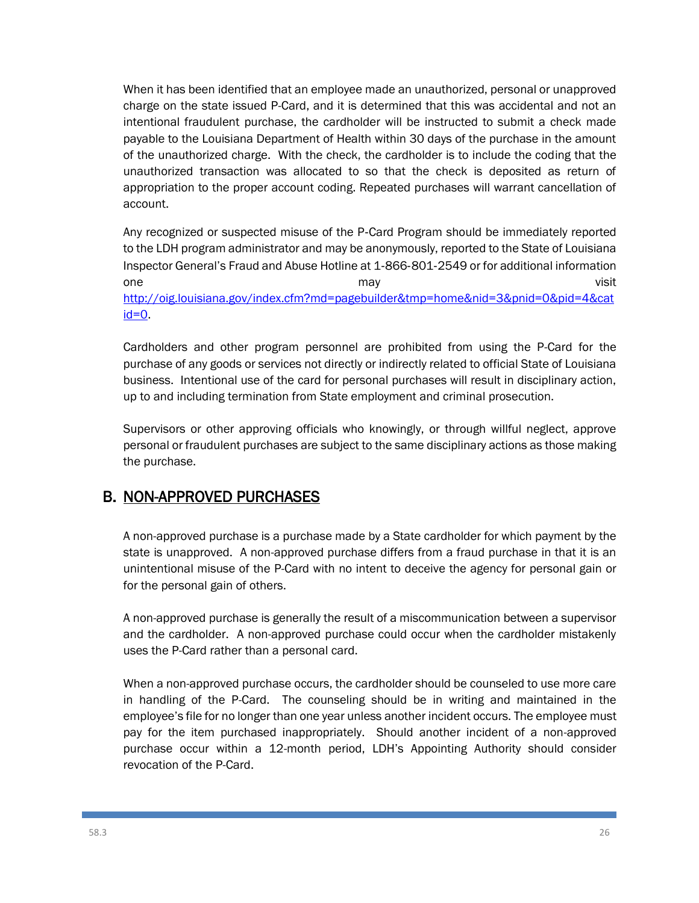When it has been identified that an employee made an unauthorized, personal or unapproved charge on the state issued P-Card, and it is determined that this was accidental and not an intentional fraudulent purchase, the cardholder will be instructed to submit a check made payable to the Louisiana Department of Health within 30 days of the purchase in the amount of the unauthorized charge. With the check, the cardholder is to include the coding that the unauthorized transaction was allocated to so that the check is deposited as return of appropriation to the proper account coding. Repeated purchases will warrant cancellation of account.

Any recognized or suspected misuse of the P‐Card Program should be immediately reported to the LDH program administrator and may be anonymously, reported to the State of Louisiana Inspector General's Fraud and Abuse Hotline at 1‐866‐801‐2549 or for additional information one when the may may be a set of the set of the set of the set of the set of the set of the set of the set of the set of the set of the set of the set of the set of the set of the set of the set of the set of the set of th [http://oig.louisiana.gov/index.cfm?md=pagebuilder&tmp=home&nid=3&pnid=0&pid=4&cat](http://oig.louisiana.gov/index.cfm?md=pagebuilder&tmp=home&nid=3&pnid=0&pid=4&catid=0)  $id=0$ .

Cardholders and other program personnel are prohibited from using the P-Card for the purchase of any goods or services not directly or indirectly related to official State of Louisiana business. Intentional use of the card for personal purchases will result in disciplinary action, up to and including termination from State employment and criminal prosecution.

Supervisors or other approving officials who knowingly, or through willful neglect, approve personal or fraudulent purchases are subject to the same disciplinary actions as those making the purchase.

# B. NON-APPROVED PURCHASES

A non-approved purchase is a purchase made by a State cardholder for which payment by the state is unapproved. A non-approved purchase differs from a fraud purchase in that it is an unintentional misuse of the P-Card with no intent to deceive the agency for personal gain or for the personal gain of others.

A non-approved purchase is generally the result of a miscommunication between a supervisor and the cardholder. A non-approved purchase could occur when the cardholder mistakenly uses the P-Card rather than a personal card.

When a non-approved purchase occurs, the cardholder should be counseled to use more care in handling of the P-Card. The counseling should be in writing and maintained in the employee's file for no longer than one year unless another incident occurs. The employee must pay for the item purchased inappropriately. Should another incident of a non-approved purchase occur within a 12-month period, LDH's Appointing Authority should consider revocation of the P-Card.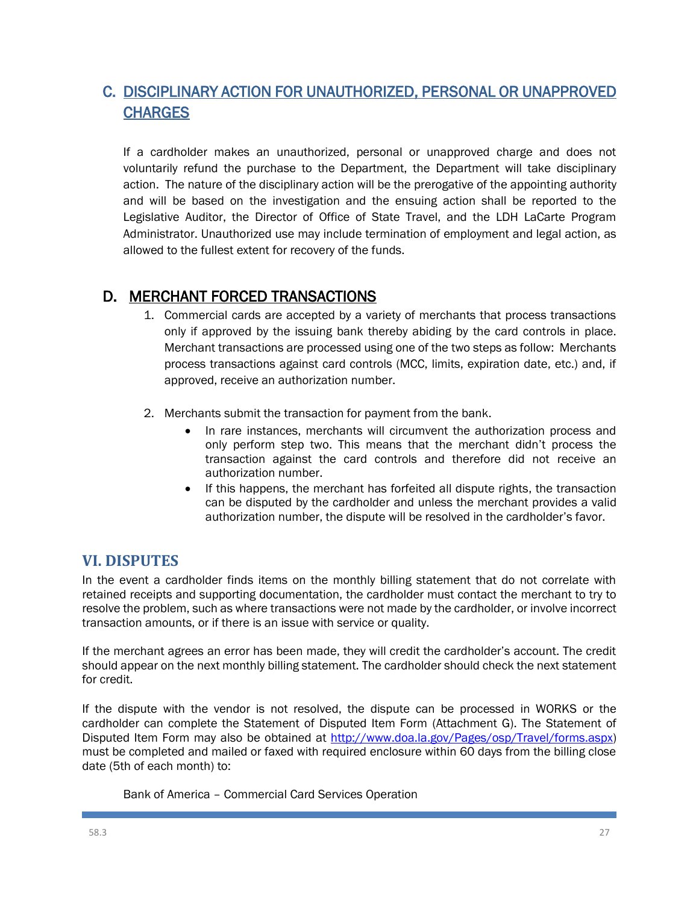# C. DISCIPLINARY ACTION FOR UNAUTHORIZED, PERSONAL OR UNAPPROVED **CHARGES**

If a cardholder makes an unauthorized, personal or unapproved charge and does not voluntarily refund the purchase to the Department, the Department will take disciplinary action. The nature of the disciplinary action will be the prerogative of the appointing authority and will be based on the investigation and the ensuing action shall be reported to the Legislative Auditor, the Director of Office of State Travel, and the LDH LaCarte Program Administrator. Unauthorized use may include termination of employment and legal action, as allowed to the fullest extent for recovery of the funds.

## D. MERCHANT FORCED TRANSACTIONS

- 1. Commercial cards are accepted by a variety of merchants that process transactions only if approved by the issuing bank thereby abiding by the card controls in place. Merchant transactions are processed using one of the two steps as follow: Merchants process transactions against card controls (MCC, limits, expiration date, etc.) and, if approved, receive an authorization number.
- 2. Merchants submit the transaction for payment from the bank.
	- In rare instances, merchants will circumvent the authorization process and only perform step two. This means that the merchant didn't process the transaction against the card controls and therefore did not receive an authorization number.
	- If this happens, the merchant has forfeited all dispute rights, the transaction can be disputed by the cardholder and unless the merchant provides a valid authorization number, the dispute will be resolved in the cardholder's favor.

## **VI. DISPUTES**

In the event a cardholder finds items on the monthly billing statement that do not correlate with retained receipts and supporting documentation, the cardholder must contact the merchant to try to resolve the problem, such as where transactions were not made by the cardholder, or involve incorrect transaction amounts, or if there is an issue with service or quality.

If the merchant agrees an error has been made, they will credit the cardholder's account. The credit should appear on the next monthly billing statement. The cardholder should check the next statement for credit.

If the dispute with the vendor is not resolved, the dispute can be processed in WORKS or the cardholder can complete the Statement of Disputed Item Form (Attachment G). The Statement of Disputed Item Form may also be obtained at [http://www.doa.la.gov/Pages/osp/Travel/forms.aspx\)](http://www.doa.la.gov/Pages/osp/Travel/forms.aspx) must be completed and mailed or faxed with required enclosure within 60 days from the billing close date (5th of each month) to:

Bank of America – Commercial Card Services Operation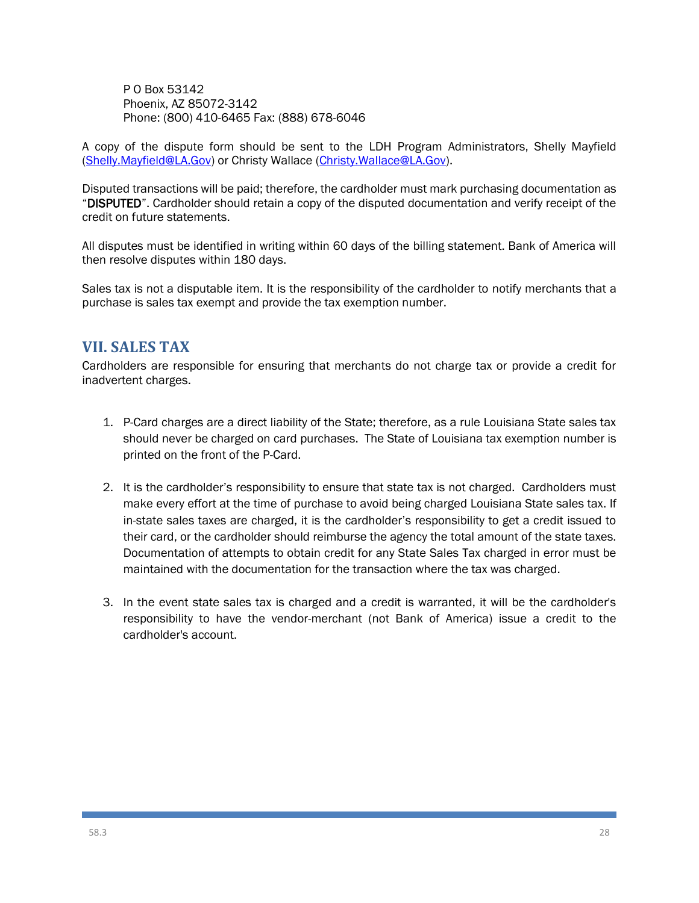P O Box 53142 Phoenix, AZ 85072-3142 Phone: (800) 410-6465 Fax: (888) 678-6046

A copy of the dispute form should be sent to the LDH Program Administrators, Shelly Mayfield [\(Shelly.Mayfield@LA.Gov\)](mailto:Shelly.Mayfield@LA.Gov) or Christy Wallace [\(Christy.Wallace@LA.Gov\)](mailto:Christy.Wallace@LA.Gov).

Disputed transactions will be paid; therefore, the cardholder must mark purchasing documentation as "DISPUTED". Cardholder should retain a copy of the disputed documentation and verify receipt of the credit on future statements.

All disputes must be identified in writing within 60 days of the billing statement. Bank of America will then resolve disputes within 180 days.

Sales tax is not a disputable item. It is the responsibility of the cardholder to notify merchants that a purchase is sales tax exempt and provide the tax exemption number.

#### **VII. SALES TAX**

Cardholders are responsible for ensuring that merchants do not charge tax or provide a credit for inadvertent charges.

- 1. P-Card charges are a direct liability of the State; therefore, as a rule Louisiana State sales tax should never be charged on card purchases. The State of Louisiana tax exemption number is printed on the front of the P-Card.
- 2. It is the cardholder's responsibility to ensure that state tax is not charged. Cardholders must make every effort at the time of purchase to avoid being charged Louisiana State sales tax. If in-state sales taxes are charged, it is the cardholder's responsibility to get a credit issued to their card, or the cardholder should reimburse the agency the total amount of the state taxes. Documentation of attempts to obtain credit for any State Sales Tax charged in error must be maintained with the documentation for the transaction where the tax was charged.
- 3. In the event state sales tax is charged and a credit is warranted, it will be the cardholder's responsibility to have the vendor-merchant (not Bank of America) issue a credit to the cardholder's account.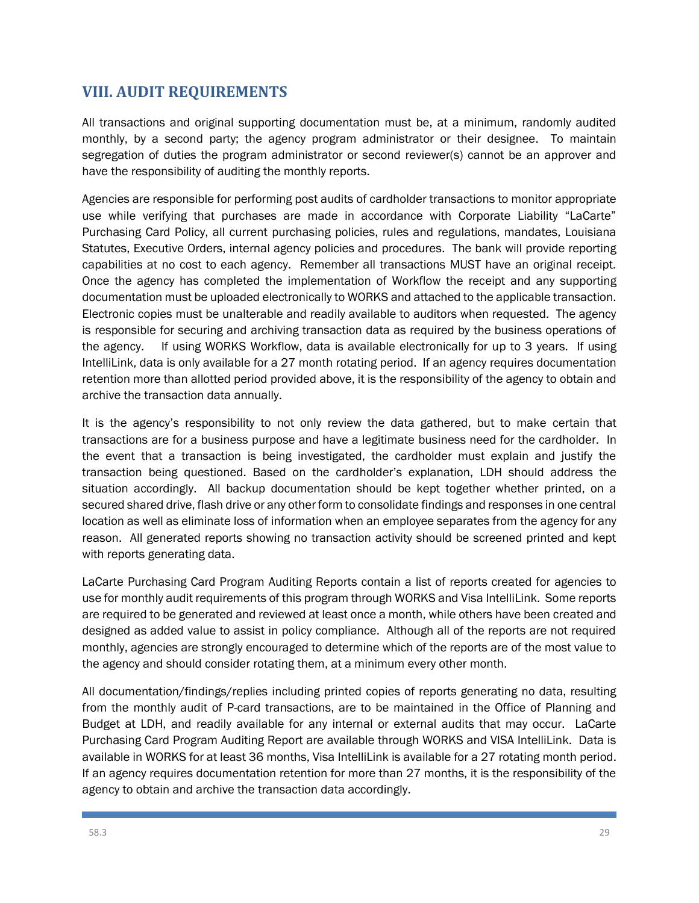## **VIII. AUDIT REQUIREMENTS**

All transactions and original supporting documentation must be, at a minimum, randomly audited monthly, by a second party; the agency program administrator or their designee. To maintain segregation of duties the program administrator or second reviewer(s) cannot be an approver and have the responsibility of auditing the monthly reports.

Agencies are responsible for performing post audits of cardholder transactions to monitor appropriate use while verifying that purchases are made in accordance with Corporate Liability "LaCarte" Purchasing Card Policy, all current purchasing policies, rules and regulations, mandates, Louisiana Statutes, Executive Orders, internal agency policies and procedures. The bank will provide reporting capabilities at no cost to each agency. Remember all transactions MUST have an original receipt. Once the agency has completed the implementation of Workflow the receipt and any supporting documentation must be uploaded electronically to WORKS and attached to the applicable transaction. Electronic copies must be unalterable and readily available to auditors when requested. The agency is responsible for securing and archiving transaction data as required by the business operations of the agency. If using WORKS Workflow, data is available electronically for up to 3 years. If using IntelliLink, data is only available for a 27 month rotating period. If an agency requires documentation retention more than allotted period provided above, it is the responsibility of the agency to obtain and archive the transaction data annually.

It is the agency's responsibility to not only review the data gathered, but to make certain that transactions are for a business purpose and have a legitimate business need for the cardholder. In the event that a transaction is being investigated, the cardholder must explain and justify the transaction being questioned. Based on the cardholder's explanation, LDH should address the situation accordingly. All backup documentation should be kept together whether printed, on a secured shared drive, flash drive or any other form to consolidate findings and responses in one central location as well as eliminate loss of information when an employee separates from the agency for any reason. All generated reports showing no transaction activity should be screened printed and kept with reports generating data.

LaCarte Purchasing Card Program Auditing Reports contain a list of reports created for agencies to use for monthly audit requirements of this program through WORKS and Visa IntelliLink. Some reports are required to be generated and reviewed at least once a month, while others have been created and designed as added value to assist in policy compliance. Although all of the reports are not required monthly, agencies are strongly encouraged to determine which of the reports are of the most value to the agency and should consider rotating them, at a minimum every other month.

All documentation/findings/replies including printed copies of reports generating no data, resulting from the monthly audit of P-card transactions, are to be maintained in the Office of Planning and Budget at LDH, and readily available for any internal or external audits that may occur. LaCarte Purchasing Card Program Auditing Report are available through WORKS and VISA IntelliLink. Data is available in WORKS for at least 36 months, Visa IntelliLink is available for a 27 rotating month period. If an agency requires documentation retention for more than 27 months, it is the responsibility of the agency to obtain and archive the transaction data accordingly.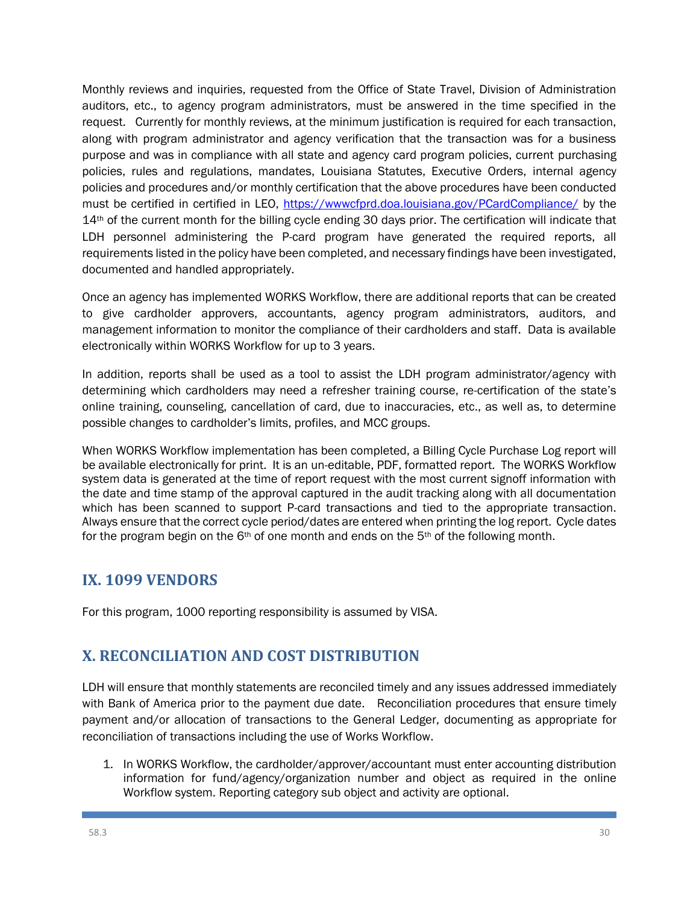Monthly reviews and inquiries, requested from the Office of State Travel, Division of Administration auditors, etc., to agency program administrators, must be answered in the time specified in the request. Currently for monthly reviews, at the minimum justification is required for each transaction, along with program administrator and agency verification that the transaction was for a business purpose and was in compliance with all state and agency card program policies, current purchasing policies, rules and regulations, mandates, Louisiana Statutes, Executive Orders, internal agency policies and procedures and/or monthly certification that the above procedures have been conducted must be certified in certified in LEO,<https://wwwcfprd.doa.louisiana.gov/PCardCompliance/> by the 14th of the current month for the billing cycle ending 30 days prior. The certification will indicate that LDH personnel administering the P-card program have generated the required reports, all requirements listed in the policy have been completed, and necessary findings have been investigated, documented and handled appropriately.

Once an agency has implemented WORKS Workflow, there are additional reports that can be created to give cardholder approvers, accountants, agency program administrators, auditors, and management information to monitor the compliance of their cardholders and staff. Data is available electronically within WORKS Workflow for up to 3 years.

In addition, reports shall be used as a tool to assist the LDH program administrator/agency with determining which cardholders may need a refresher training course, re-certification of the state's online training, counseling, cancellation of card, due to inaccuracies, etc., as well as, to determine possible changes to cardholder's limits, profiles, and MCC groups.

When WORKS Workflow implementation has been completed, a Billing Cycle Purchase Log report will be available electronically for print. It is an un-editable, PDF, formatted report. The WORKS Workflow system data is generated at the time of report request with the most current signoff information with the date and time stamp of the approval captured in the audit tracking along with all documentation which has been scanned to support P-card transactions and tied to the appropriate transaction. Always ensure that the correct cycle period/dates are entered when printing the log report. Cycle dates for the program begin on the  $6<sup>th</sup>$  of one month and ends on the  $5<sup>th</sup>$  of the following month.

## **IX. 1099 VENDORS**

For this program, 1000 reporting responsibility is assumed by VISA.

## **X. RECONCILIATION AND COST DISTRIBUTION**

LDH will ensure that monthly statements are reconciled timely and any issues addressed immediately with Bank of America prior to the payment due date. Reconciliation procedures that ensure timely payment and/or allocation of transactions to the General Ledger, documenting as appropriate for reconciliation of transactions including the use of Works Workflow.

1. In WORKS Workflow, the cardholder/approver/accountant must enter accounting distribution information for fund/agency/organization number and object as required in the online Workflow system. Reporting category sub object and activity are optional.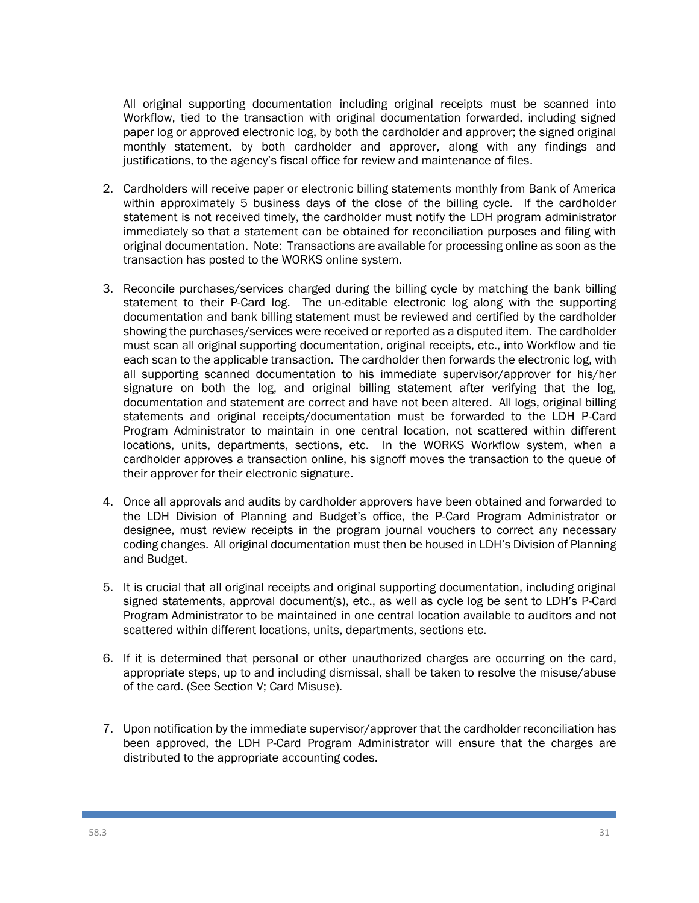All original supporting documentation including original receipts must be scanned into Workflow, tied to the transaction with original documentation forwarded, including signed paper log or approved electronic log, by both the cardholder and approver; the signed original monthly statement, by both cardholder and approver, along with any findings and justifications, to the agency's fiscal office for review and maintenance of files.

- 2. Cardholders will receive paper or electronic billing statements monthly from Bank of America within approximately 5 business days of the close of the billing cycle. If the cardholder statement is not received timely, the cardholder must notify the LDH program administrator immediately so that a statement can be obtained for reconciliation purposes and filing with original documentation. Note: Transactions are available for processing online as soon as the transaction has posted to the WORKS online system.
- 3. Reconcile purchases/services charged during the billing cycle by matching the bank billing statement to their P-Card log. The un-editable electronic log along with the supporting documentation and bank billing statement must be reviewed and certified by the cardholder showing the purchases/services were received or reported as a disputed item. The cardholder must scan all original supporting documentation, original receipts, etc., into Workflow and tie each scan to the applicable transaction. The cardholder then forwards the electronic log, with all supporting scanned documentation to his immediate supervisor/approver for his/her signature on both the log, and original billing statement after verifying that the log, documentation and statement are correct and have not been altered. All logs, original billing statements and original receipts/documentation must be forwarded to the LDH P-Card Program Administrator to maintain in one central location, not scattered within different locations, units, departments, sections, etc. In the WORKS Workflow system, when a cardholder approves a transaction online, his signoff moves the transaction to the queue of their approver for their electronic signature.
- 4. Once all approvals and audits by cardholder approvers have been obtained and forwarded to the LDH Division of Planning and Budget's office, the P-Card Program Administrator or designee, must review receipts in the program journal vouchers to correct any necessary coding changes. All original documentation must then be housed in LDH's Division of Planning and Budget.
- 5. It is crucial that all original receipts and original supporting documentation, including original signed statements, approval document(s), etc., as well as cycle log be sent to LDH's P-Card Program Administrator to be maintained in one central location available to auditors and not scattered within different locations, units, departments, sections etc.
- 6. If it is determined that personal or other unauthorized charges are occurring on the card, appropriate steps, up to and including dismissal, shall be taken to resolve the misuse/abuse of the card. (See Section V; Card Misuse).
- 7. Upon notification by the immediate supervisor/approver that the cardholder reconciliation has been approved, the LDH P-Card Program Administrator will ensure that the charges are distributed to the appropriate accounting codes.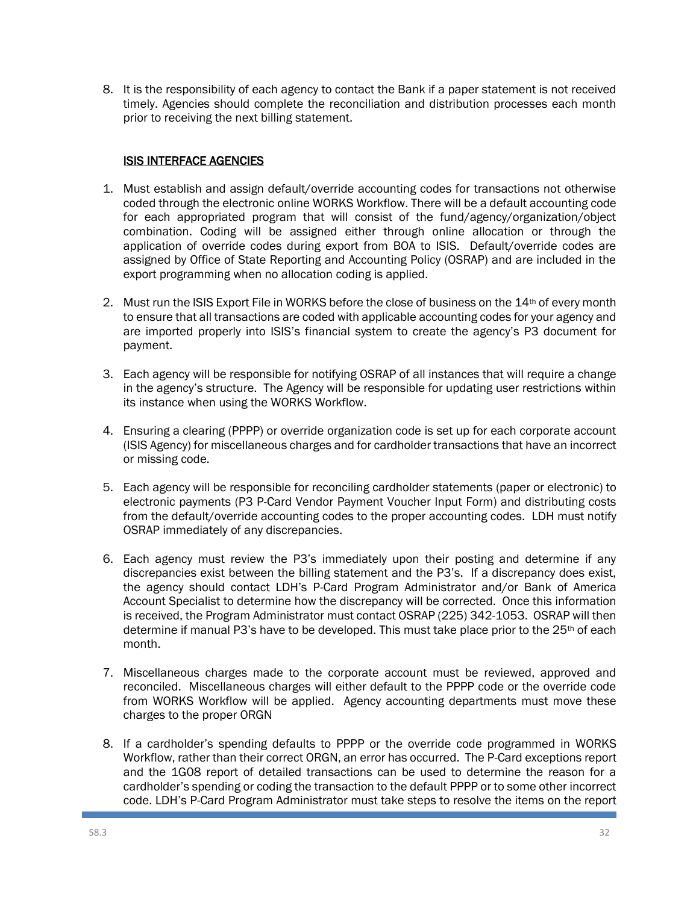8. It is the responsibility of each agency to contact the Bank if a paper statement is not received timely. Agencies should complete the reconciliation and distribution processes each month prior to receiving the next billing statement.

#### ISIS INTERFACE AGENCIES

- 1. Must establish and assign default/override accounting codes for transactions not otherwise coded through the electronic online WORKS Workflow. There will be a default accounting code for each appropriated program that will consist of the fund/agency/organization/object combination. Coding will be assigned either through online allocation or through the application of override codes during export from BOA to ISIS. Default/override codes are assigned by Office of State Reporting and Accounting Policy (OSRAP) and are included in the export programming when no allocation coding is applied.
- 2. Must run the ISIS Export File in WORKS before the close of business on the 14<sup>th</sup> of every month to ensure that all transactions are coded with applicable accounting codes for your agency and are imported properly into ISIS's financial system to create the agency's P3 document for payment.
- 3. Each agency will be responsible for notifying OSRAP of all instances that will require a change in the agency's structure. The Agency will be responsible for updating user restrictions within its instance when using the WORKS Workflow.
- 4. Ensuring a clearing (PPPP) or override organization code is set up for each corporate account (ISIS Agency) for miscellaneous charges and for cardholder transactions that have an incorrect or missing code.
- 5. Each agency will be responsible for reconciling cardholder statements (paper or electronic) to electronic payments (P3 P-Card Vendor Payment Voucher Input Form) and distributing costs from the default/override accounting codes to the proper accounting codes. LDH must notify OSRAP immediately of any discrepancies.
- 6. Each agency must review the P3's immediately upon their posting and determine if any discrepancies exist between the billing statement and the P3's. If a discrepancy does exist, the agency should contact LDH's P-Card Program Administrator and/or Bank of America Account Specialist to determine how the discrepancy will be corrected. Once this information is received, the Program Administrator must contact OSRAP (225) 342-1053. OSRAP will then determine if manual P3's have to be developed. This must take place prior to the 25<sup>th</sup> of each month.
- 7. Miscellaneous charges made to the corporate account must be reviewed, approved and reconciled. Miscellaneous charges will either default to the PPPP code or the override code from WORKS Workflow will be applied. Agency accounting departments must move these charges to the proper ORGN
- 8. If a cardholder's spending defaults to PPPP or the override code programmed in WORKS Workflow, rather than their correct ORGN, an error has occurred. The P-Card exceptions report and the 1G08 report of detailed transactions can be used to determine the reason for a cardholder's spending or coding the transaction to the default PPPP or to some other incorrect code. LDH's P-Card Program Administrator must take steps to resolve the items on the report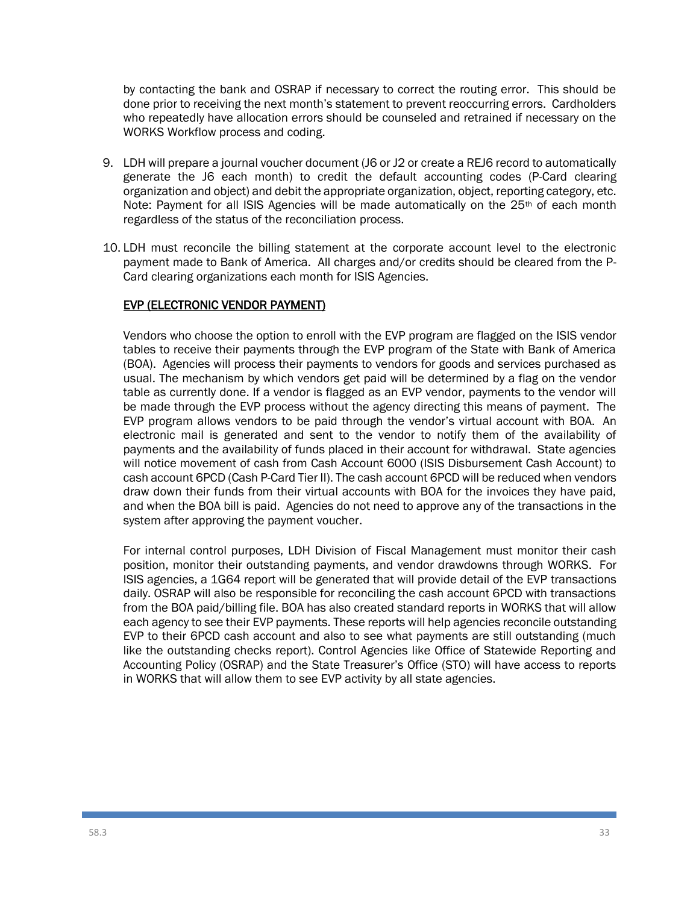by contacting the bank and OSRAP if necessary to correct the routing error. This should be done prior to receiving the next month's statement to prevent reoccurring errors. Cardholders who repeatedly have allocation errors should be counseled and retrained if necessary on the WORKS Workflow process and coding.

- 9. LDH will prepare a journal voucher document (J6 or J2 or create a REJ6 record to automatically generate the J6 each month) to credit the default accounting codes (P-Card clearing organization and object) and debit the appropriate organization, object, reporting category, etc. Note: Payment for all ISIS Agencies will be made automatically on the  $25<sup>th</sup>$  of each month regardless of the status of the reconciliation process.
- 10. LDH must reconcile the billing statement at the corporate account level to the electronic payment made to Bank of America. All charges and/or credits should be cleared from the P-Card clearing organizations each month for ISIS Agencies.

#### EVP (ELECTRONIC VENDOR PAYMENT)

Vendors who choose the option to enroll with the EVP program are flagged on the ISIS vendor tables to receive their payments through the EVP program of the State with Bank of America (BOA). Agencies will process their payments to vendors for goods and services purchased as usual. The mechanism by which vendors get paid will be determined by a flag on the vendor table as currently done. If a vendor is flagged as an EVP vendor, payments to the vendor will be made through the EVP process without the agency directing this means of payment. The EVP program allows vendors to be paid through the vendor's virtual account with BOA. An electronic mail is generated and sent to the vendor to notify them of the availability of payments and the availability of funds placed in their account for withdrawal. State agencies will notice movement of cash from Cash Account 6000 (ISIS Disbursement Cash Account) to cash account 6PCD (Cash P-Card Tier II). The cash account 6PCD will be reduced when vendors draw down their funds from their virtual accounts with BOA for the invoices they have paid, and when the BOA bill is paid. Agencies do not need to approve any of the transactions in the system after approving the payment voucher.

For internal control purposes, LDH Division of Fiscal Management must monitor their cash position, monitor their outstanding payments, and vendor drawdowns through WORKS. For ISIS agencies, a 1G64 report will be generated that will provide detail of the EVP transactions daily. OSRAP will also be responsible for reconciling the cash account 6PCD with transactions from the BOA paid/billing file. BOA has also created standard reports in WORKS that will allow each agency to see their EVP payments. These reports will help agencies reconcile outstanding EVP to their 6PCD cash account and also to see what payments are still outstanding (much like the outstanding checks report). Control Agencies like Office of Statewide Reporting and Accounting Policy (OSRAP) and the State Treasurer's Office (STO) will have access to reports in WORKS that will allow them to see EVP activity by all state agencies.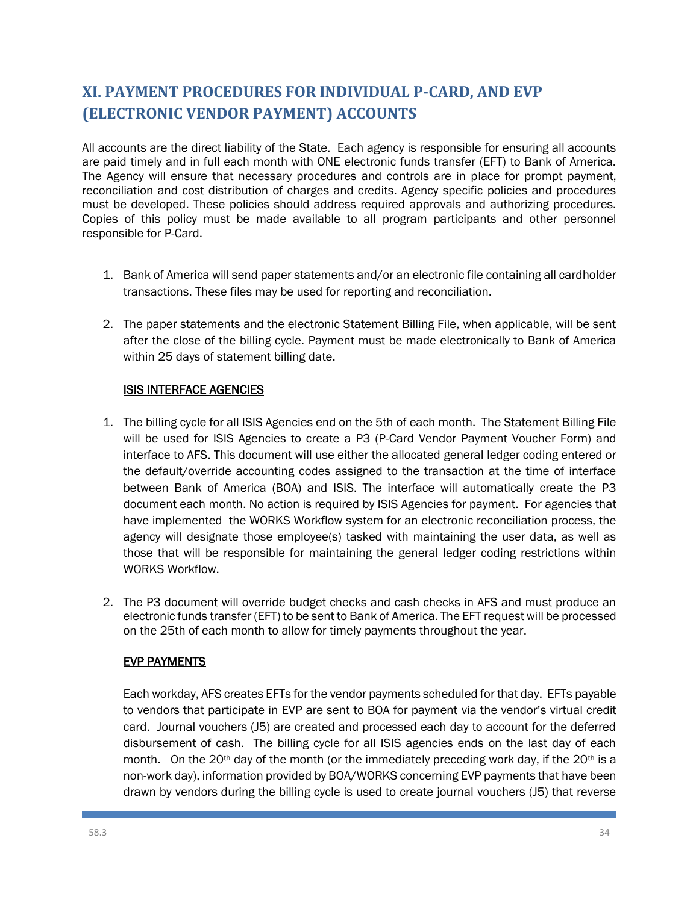# **XI. PAYMENT PROCEDURES FOR INDIVIDUAL P-CARD, AND EVP (ELECTRONIC VENDOR PAYMENT) ACCOUNTS**

All accounts are the direct liability of the State. Each agency is responsible for ensuring all accounts are paid timely and in full each month with ONE electronic funds transfer (EFT) to Bank of America. The Agency will ensure that necessary procedures and controls are in place for prompt payment, reconciliation and cost distribution of charges and credits. Agency specific policies and procedures must be developed. These policies should address required approvals and authorizing procedures. Copies of this policy must be made available to all program participants and other personnel responsible for P-Card.

- 1. Bank of America will send paper statements and/or an electronic file containing all cardholder transactions. These files may be used for reporting and reconciliation.
- 2. The paper statements and the electronic Statement Billing File, when applicable, will be sent after the close of the billing cycle. Payment must be made electronically to Bank of America within 25 days of statement billing date.

#### ISIS INTERFACE AGENCIES

- 1. The billing cycle for all ISIS Agencies end on the 5th of each month. The Statement Billing File will be used for ISIS Agencies to create a P3 (P-Card Vendor Payment Voucher Form) and interface to AFS. This document will use either the allocated general ledger coding entered or the default/override accounting codes assigned to the transaction at the time of interface between Bank of America (BOA) and ISIS. The interface will automatically create the P3 document each month. No action is required by ISIS Agencies for payment. For agencies that have implemented the WORKS Workflow system for an electronic reconciliation process, the agency will designate those employee(s) tasked with maintaining the user data, as well as those that will be responsible for maintaining the general ledger coding restrictions within WORKS Workflow.
- 2. The P3 document will override budget checks and cash checks in AFS and must produce an electronic funds transfer (EFT) to be sent to Bank of America. The EFT request will be processed on the 25th of each month to allow for timely payments throughout the year.

#### EVP PAYMENTS

Each workday, AFS creates EFTs for the vendor payments scheduled for that day. EFTs payable to vendors that participate in EVP are sent to BOA for payment via the vendor's virtual credit card. Journal vouchers (J5) are created and processed each day to account for the deferred disbursement of cash. The billing cycle for all ISIS agencies ends on the last day of each month. On the 20<sup>th</sup> day of the month (or the immediately preceding work day, if the 20<sup>th</sup> is a non-work day), information provided by BOA/WORKS concerning EVP payments that have been drawn by vendors during the billing cycle is used to create journal vouchers (J5) that reverse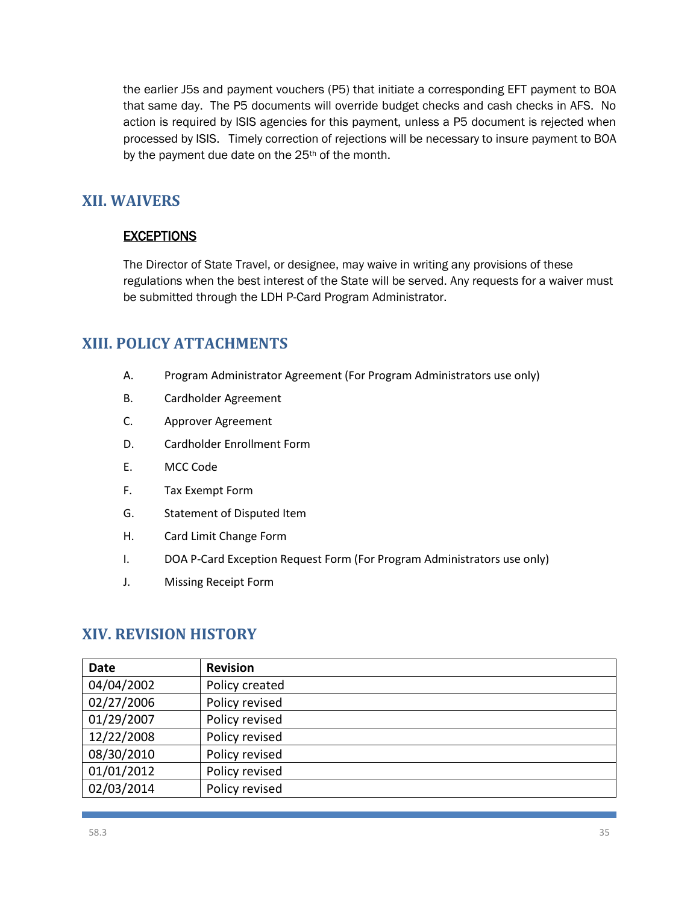the earlier J5s and payment vouchers (P5) that initiate a corresponding EFT payment to BOA that same day. The P5 documents will override budget checks and cash checks in AFS. No action is required by ISIS agencies for this payment, unless a P5 document is rejected when processed by ISIS. Timely correction of rejections will be necessary to insure payment to BOA by the payment due date on the 25<sup>th</sup> of the month.

## **XII. WAIVERS**

#### **EXCEPTIONS**

The Director of State Travel, or designee, may waive in writing any provisions of these regulations when the best interest of the State will be served. Any requests for a waiver must be submitted through the LDH P-Card Program Administrator.

## **XIII. POLICY ATTACHMENTS**

- A. Program Administrator Agreement (For Program Administrators use only)
- B. Cardholder Agreement
- C. Approver Agreement
- D. Cardholder Enrollment Form
- E. MCC Code
- F. Tax Exempt Form
- G. Statement of Disputed Item
- H. Card Limit Change Form
- I. DOA P-Card Exception Request Form (For Program Administrators use only)
- J. Missing Receipt Form

## **XIV. REVISION HISTORY**

| <b>Date</b> | <b>Revision</b> |
|-------------|-----------------|
| 04/04/2002  | Policy created  |
| 02/27/2006  | Policy revised  |
| 01/29/2007  | Policy revised  |
| 12/22/2008  | Policy revised  |
| 08/30/2010  | Policy revised  |
| 01/01/2012  | Policy revised  |
| 02/03/2014  | Policy revised  |